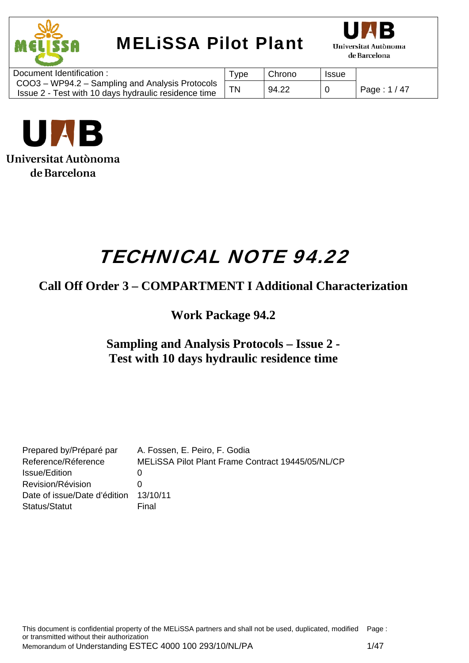



| Document Identification :                                                                               | vpe | Chrono | <b>Issue</b> |              |
|---------------------------------------------------------------------------------------------------------|-----|--------|--------------|--------------|
| COO3 – WP94.2 – Sampling and Analysis Protocols<br>Issue 2 - Test with 10 days hydraulic residence time |     | 94.22  | 0            | Page: 1 / 47 |
|                                                                                                         |     |        |              |              |



# TECHNICAL NOTE 94.22

## **Call Off Order 3 – COMPARTMENT I Additional Characterization**

**Work Package 94.2** 

## **Sampling and Analysis Protocols – Issue 2 - Test with 10 days hydraulic residence time**

| Prepared by/Préparé par      | A. Fossen, E. Peiro, F. Godia                     |
|------------------------------|---------------------------------------------------|
| Reference/Réference          | MELISSA Pilot Plant Frame Contract 19445/05/NL/CP |
| Issue/Edition                |                                                   |
| Revision/Révision            |                                                   |
| Date of issue/Date d'édition | 13/10/11                                          |
| Status/Statut                | Final                                             |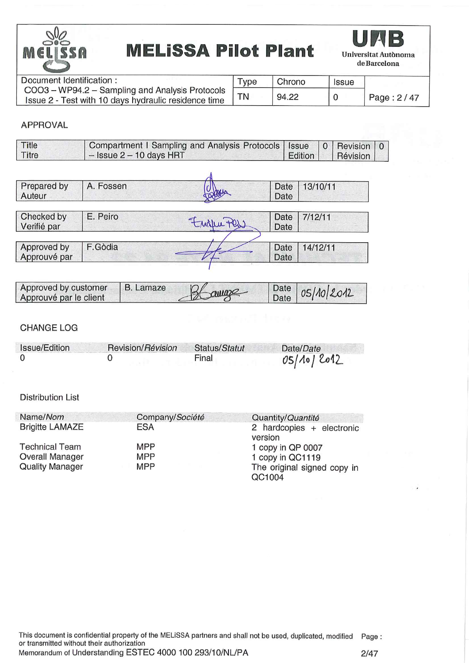



| Document Identification:                                                                                | $Type$ | Chrono | <b>Issue</b> |            |
|---------------------------------------------------------------------------------------------------------|--------|--------|--------------|------------|
| COO3 - WP94.2 - Sampling and Analysis Protocols<br>Issue 2 - Test with 10 days hydraulic residence time |        | 94.22  |              | Page: 2/47 |

#### **APPROVAL**

| Title | Compartment I Sampling and Analysis Protocols   Issue   0   Revision   0 |  |                    |  |
|-------|--------------------------------------------------------------------------|--|--------------------|--|
| Titre | $-$ Issue 2 $-$ 10 days HRT                                              |  | Edition   Révision |  |

| Prepared by<br>Auteur       | A. Fossen |        | Date<br>Date | 13/10/11 |
|-----------------------------|-----------|--------|--------------|----------|
| Checked by<br>Verifié par   | E. Peiro  | Englis | Date<br>Date | 7/12/11  |
|                             |           |        |              |          |
| Approved by<br>Approuvé par | F.Gòdia   |        | Date<br>Date | 14/12/11 |

| Approved by customer<br>Approuvé par le client | B. Lamaze | Blange | $\vert$ Date $\vert$ 05/10/2012 |
|------------------------------------------------|-----------|--------|---------------------------------|
|                                                |           |        |                                 |

#### **CHANGE LOG**

| Issue/Edition | Revision/Révision | Status/Statut | Date/Date  |
|---------------|-------------------|---------------|------------|
|               |                   | Final         | 05/10/2012 |

#### **Distribution List**

| Name/Nom               | Company/Société | Quantity/Quantité                      |
|------------------------|-----------------|----------------------------------------|
| <b>Brigitte LAMAZE</b> | <b>ESA</b>      | 2 hardcopies $+$ electronic<br>version |
| <b>Technical Team</b>  | MPP             | 1 copy in QP 0007                      |
| <b>Overall Manager</b> | <b>MPP</b>      | 1 copy in QC1119                       |
| <b>Quality Manager</b> | <b>MPP</b>      | The original signed copy in<br>QC1004  |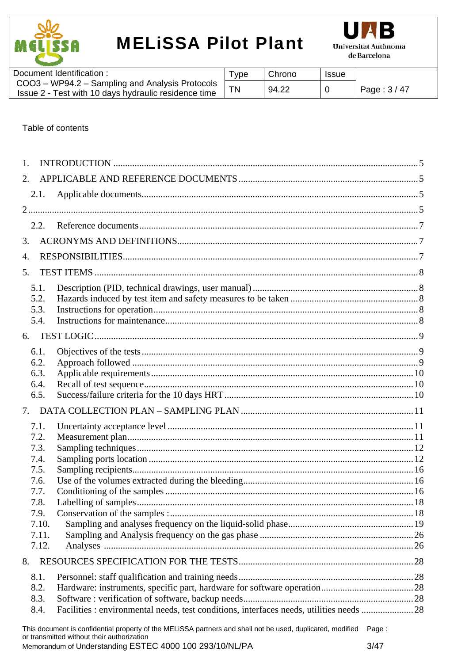



| Document Identification:                                                                                | 'ype | Chrono | <b>Issue</b> |              |
|---------------------------------------------------------------------------------------------------------|------|--------|--------------|--------------|
| COO3 - WP94.2 - Sampling and Analysis Protocols<br>Issue 2 - Test with 10 days hydraulic residence time |      | 94.22  |              | Page: $3/47$ |
|                                                                                                         |      |        |              |              |

#### Table of contents

| $\mathbf{1}$ . |                                                                                                                                                                   |  |
|----------------|-------------------------------------------------------------------------------------------------------------------------------------------------------------------|--|
| 2.             |                                                                                                                                                                   |  |
| 2.1.           |                                                                                                                                                                   |  |
|                |                                                                                                                                                                   |  |
| 2.2.           |                                                                                                                                                                   |  |
| 3.             |                                                                                                                                                                   |  |
| 4.             |                                                                                                                                                                   |  |
|                |                                                                                                                                                                   |  |
| 5.             |                                                                                                                                                                   |  |
| 5.1.<br>5.2.   |                                                                                                                                                                   |  |
| 5.3.           |                                                                                                                                                                   |  |
| 5.4.           |                                                                                                                                                                   |  |
| 6.             |                                                                                                                                                                   |  |
| 6.1.           |                                                                                                                                                                   |  |
| 6.2.           |                                                                                                                                                                   |  |
| 6.3.           |                                                                                                                                                                   |  |
| 6.4.<br>6.5.   |                                                                                                                                                                   |  |
| 7.             |                                                                                                                                                                   |  |
| 7.1.           |                                                                                                                                                                   |  |
| 7.2.           |                                                                                                                                                                   |  |
| 7.3.           |                                                                                                                                                                   |  |
| 7.4.           |                                                                                                                                                                   |  |
| 7.5.<br>7.6.   |                                                                                                                                                                   |  |
| 7.7.           |                                                                                                                                                                   |  |
| 7.8.           |                                                                                                                                                                   |  |
| 7.9.           |                                                                                                                                                                   |  |
| 7.10.          |                                                                                                                                                                   |  |
| 7.11.          |                                                                                                                                                                   |  |
| 7.12.          |                                                                                                                                                                   |  |
| 8.             |                                                                                                                                                                   |  |
| 8.1.           |                                                                                                                                                                   |  |
| 8.2.<br>8.3.   |                                                                                                                                                                   |  |
| 8.4.           | Facilities : environmental needs, test conditions, interfaces needs, utilities needs  28                                                                          |  |
|                | This document is confidential property of the MELiSSA partners and shall not be used, duplicated, modified<br>Page:<br>or transmitted without their authorization |  |

Memorandum of Understanding ESTEC 4000 100 293/10/NL/PA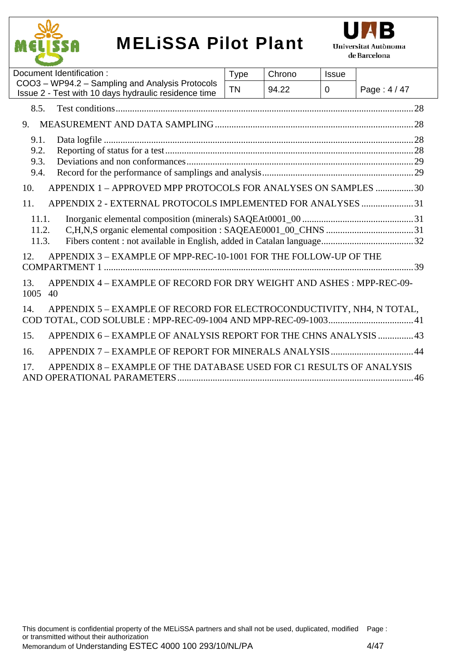



| Document Identification:                                                                                | <b>Type</b> | Chrono | <b>Issue</b> |            |
|---------------------------------------------------------------------------------------------------------|-------------|--------|--------------|------------|
| COO3 - WP94.2 - Sampling and Analysis Protocols<br>Issue 2 - Test with 10 days hydraulic residence time | <b>TN</b>   | 94.22  | 0            | Page: 4/47 |
| 8.5.                                                                                                    |             |        |              |            |
| 9.                                                                                                      |             |        |              |            |
| 9.1.<br>9.2.<br>9.3.<br>9.4.<br>APPENDIX 1 - APPROVED MPP PROTOCOLS FOR ANALYSES ON SAMPLES 30<br>10.   |             |        |              |            |
| 11.<br>APPENDIX 2 - EXTERNAL PROTOCOLS IMPLEMENTED FOR ANALYSES 31<br>11.1.<br>11.2.<br>11.3.           |             |        |              |            |
| APPENDIX 3 - EXAMPLE OF MPP-REC-10-1001 FOR THE FOLLOW-UP OF THE<br>12.                                 |             |        |              |            |
| APPENDIX 4 – EXAMPLE OF RECORD FOR DRY WEIGHT AND ASHES: MPP-REC-09-<br>13.<br>1005<br>40               |             |        |              |            |
| APPENDIX 5 - EXAMPLE OF RECORD FOR ELECTROCONDUCTIVITY, NH4, N TOTAL,<br>14.                            |             |        |              |            |
| APPENDIX 6 - EXAMPLE OF ANALYSIS REPORT FOR THE CHNS ANALYSIS  43<br>15.                                |             |        |              |            |
| 16.                                                                                                     |             |        |              |            |
| APPENDIX 8 – EXAMPLE OF THE DATABASE USED FOR C1 RESULTS OF ANALYSIS<br>17.                             |             |        |              |            |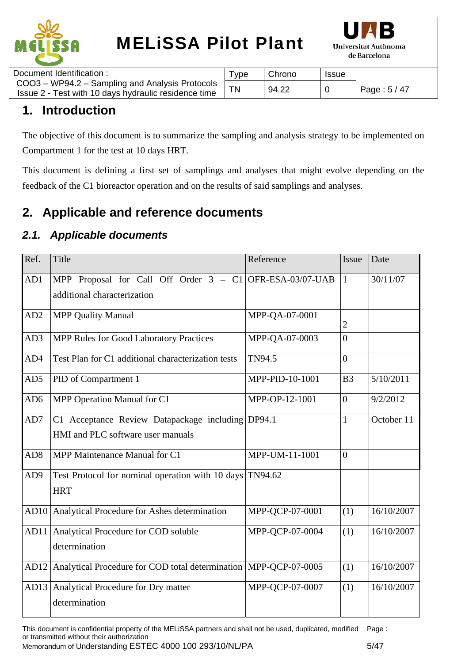



| Document Identification :                                                                               | $r_{\rm VDE}$ | Chrono | <b>Issue</b> |              |
|---------------------------------------------------------------------------------------------------------|---------------|--------|--------------|--------------|
| COO3 – WP94.2 – Sampling and Analysis Protocols<br>Issue 2 - Test with 10 days hydraulic residence time |               | 94.22  |              | Page: 5 / 47 |
|                                                                                                         |               |        |              |              |

## **1. Introduction**

The objective of this document is to summarize the sampling and analysis strategy to be implemented on Compartment 1 for the test at 10 days HRT.

This document is defining a first set of samplings and analyses that might evolve depending on the feedback of the C1 bioreactor operation and on the results of said samplings and analyses.

## **2. Applicable and reference documents**

### *2.1. Applicable documents*

| Ref.            | Title                                                                                     | Reference       | Issue          | Date       |
|-----------------|-------------------------------------------------------------------------------------------|-----------------|----------------|------------|
| AD1             | MPP Proposal for Call Off Order $3 - C1$ OFR-ESA-03/07-UAB<br>additional characterization |                 | $\vert$ 1      | 30/11/07   |
| AD2             | <b>MPP Quality Manual</b>                                                                 | MPP-QA-07-0001  | $\overline{2}$ |            |
| AD3             | <b>MPP Rules for Good Laboratory Practices</b>                                            | MPP-QA-07-0003  | $\overline{0}$ |            |
| AD4             | Test Plan for C1 additional characterization tests                                        | TN94.5          | $\overline{0}$ |            |
| AD5             | PID of Compartment 1                                                                      | MPP-PID-10-1001 | B <sub>3</sub> | 5/10/2011  |
| AD <sub>6</sub> | MPP Operation Manual for C1                                                               | MPP-OP-12-1001  | $\Omega$       | 9/2/2012   |
| AD7             | C1 Acceptance Review Datapackage including<br>HMI and PLC software user manuals           | DP94.1          | $\mathbf{1}$   | October 11 |
| AD <sub>8</sub> | MPP Maintenance Manual for C1                                                             | MPP-UM-11-1001  | $\overline{0}$ |            |
| AD <sub>9</sub> | Test Protocol for nominal operation with 10 days TN94.62<br><b>HRT</b>                    |                 |                |            |
| AD10            | Analytical Procedure for Ashes determination                                              | MPP-QCP-07-0001 | (1)            | 16/10/2007 |
| AD11            | Analytical Procedure for COD soluble<br>determination                                     | MPP-QCP-07-0004 | (1)            | 16/10/2007 |
| AD12            | Analytical Procedure for COD total determination   MPP-QCP-07-0005                        |                 | (1)            | 16/10/2007 |
| AD13            | Analytical Procedure for Dry matter<br>determination                                      | MPP-QCP-07-0007 | (1)            | 16/10/2007 |

This document is confidential property of the MELiSSA partners and shall not be used, duplicated, modified Page : or transmitted without their authorization Memorandum of Understanding ESTEC 4000 100 293/10/NL/PA 5/47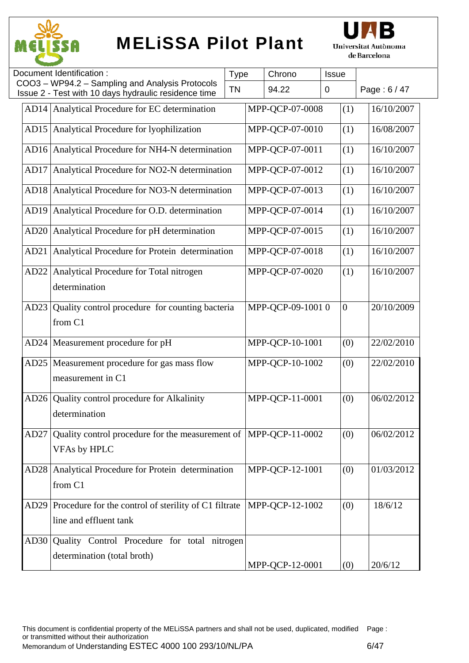



|                  | Document Identification:                                                                                | <b>Type</b> | Chrono           | Issue       |                  |              |
|------------------|---------------------------------------------------------------------------------------------------------|-------------|------------------|-------------|------------------|--------------|
|                  | COO3 - WP94.2 - Sampling and Analysis Protocols<br>Issue 2 - Test with 10 days hydraulic residence time | <b>TN</b>   | 94.22            | $\mathbf 0$ |                  | Page: 6 / 47 |
|                  | AD14 Analytical Procedure for EC determination                                                          |             | MPP-QCP-07-0008  |             | (1)              | 16/10/2007   |
| AD15             | Analytical Procedure for lyophilization                                                                 |             | MPP-QCP-07-0010  |             | (1)              | 16/08/2007   |
| AD <sub>16</sub> | Analytical Procedure for NH4-N determination                                                            |             | MPP-QCP-07-0011  |             | (1)              | 16/10/2007   |
| AD17             | Analytical Procedure for NO2-N determination                                                            |             | MPP-OCP-07-0012  |             | (1)              | 16/10/2007   |
| AD18             | Analytical Procedure for NO3-N determination                                                            |             | MPP-QCP-07-0013  |             | (1)              | 16/10/2007   |
| AD <sub>19</sub> | Analytical Procedure for O.D. determination                                                             |             | MPP-QCP-07-0014  |             | (1)              | 16/10/2007   |
| AD20             | Analytical Procedure for pH determination                                                               |             | MPP-QCP-07-0015  |             | (1)              | 16/10/2007   |
| AD21             | Analytical Procedure for Protein determination                                                          |             | MPP-QCP-07-0018  |             | (1)              | 16/10/2007   |
| AD22             | Analytical Procedure for Total nitrogen<br>determination                                                |             | MPP-QCP-07-0020  |             | (1)              | 16/10/2007   |
| AD23             | Quality control procedure for counting bacteria<br>from C1                                              |             | MPP-QCP-09-10010 |             | $\boldsymbol{0}$ | 20/10/2009   |
| AD <sub>24</sub> | Measurement procedure for pH                                                                            |             | MPP-QCP-10-1001  |             | (0)              | 22/02/2010   |
| AD25             | Measurement procedure for gas mass flow<br>measurement in C1                                            |             | MPP-QCP-10-1002  |             | (0)              | 22/02/2010   |
| AD26             | Quality control procedure for Alkalinity<br>determination                                               |             | MPP-QCP-11-0001  |             | (0)              | 06/02/2012   |
| AD27             | Quality control procedure for the measurement of  MPP-QCP-11-0002<br><b>VFAs by HPLC</b>                |             |                  |             | (0)              | 06/02/2012   |
| AD28             | Analytical Procedure for Protein determination<br>from C1                                               |             | MPP-QCP-12-1001  |             | (0)              | 01/03/2012   |
| AD29             | Procedure for the control of sterility of C1 filtrate<br>line and effluent tank                         |             | MPP-QCP-12-1002  |             | (0)              | 18/6/12      |
| AD30             | Quality Control Procedure for total nitrogen<br>determination (total broth)                             |             | MPP-QCP-12-0001  |             | (0)              | 20/6/12      |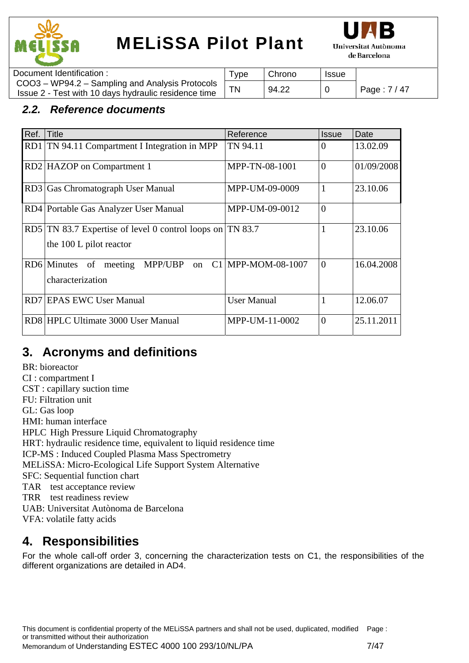



| Document Identification:                                                                                | ' vpe | Chrono | <b>Issue</b> |              |
|---------------------------------------------------------------------------------------------------------|-------|--------|--------------|--------------|
| COO3 - WP94.2 - Sampling and Analysis Protocols<br>Issue 2 - Test with 10 days hydraulic residence time |       | 94.22  |              | Page: 7 / 47 |
|                                                                                                         |       |        |              |              |

### *2.2. Reference documents*

| Ref. | Title                                                                                | Reference          | <b>Issue</b>   | Date       |
|------|--------------------------------------------------------------------------------------|--------------------|----------------|------------|
|      | RD1 TN 94.11 Compartment I Integration in MPP                                        | TN 94.11           | $\Omega$       | 13.02.09   |
|      | RD2 HAZOP on Compartment 1                                                           | MPP-TN-08-1001     | $\overline{0}$ | 01/09/2008 |
| RD3  | Gas Chromatograph User Manual                                                        | MPP-UM-09-0009     | 1              | 23.10.06   |
|      | RD4 Portable Gas Analyzer User Manual                                                | MPP-UM-09-0012     | $\overline{0}$ |            |
|      | RD5 TN 83.7 Expertise of level 0 control loops on TN 83.7<br>the 100 L pilot reactor |                    |                | 23.10.06   |
|      | RD6 Minutes<br>of<br>MPP/UBP<br>meeting<br>on<br>characterization                    | C1 MPP-MOM-08-1007 | $\Omega$       | 16.04.2008 |
|      | RD7 EPAS EWC User Manual                                                             | <b>User Manual</b> |                | 12.06.07   |
|      | RD8 HPLC Ultimate 3000 User Manual                                                   | MPP-UM-11-0002     | $\overline{0}$ | 25.11.2011 |

## **3. Acronyms and definitions**

BR: bioreactor CI : compartment I CST : capillary suction time FU: Filtration unit GL: Gas loop HMI: human interface HPLC High Pressure Liquid Chromatography HRT: hydraulic residence time, equivalent to liquid residence time ICP-MS : Induced Coupled Plasma Mass Spectrometry MELiSSA: Micro-Ecological Life Support System Alternative SFC: Sequential function chart TAR test acceptance review TRR test readiness review UAB: Universitat Autònoma de Barcelona VFA: volatile fatty acids

### **4. Responsibilities**

For the whole call-off order 3, concerning the characterization tests on C1, the responsibilities of the different organizations are detailed in AD4.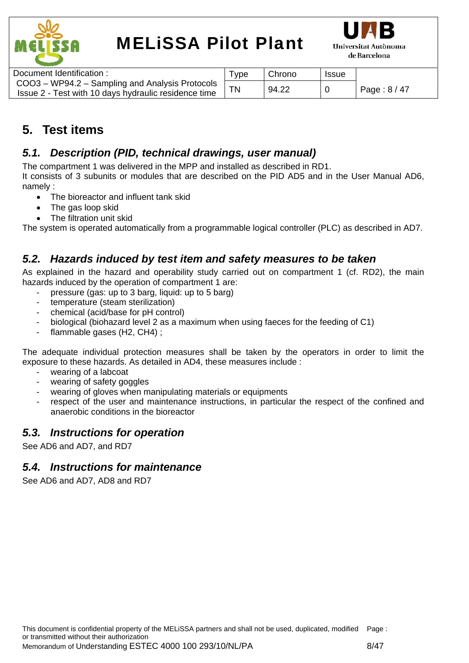



| Document Identification:                                                                                | Type: | Chrono | <b>Issue</b> |              |
|---------------------------------------------------------------------------------------------------------|-------|--------|--------------|--------------|
| COO3 - WP94.2 - Sampling and Analysis Protocols<br>Issue 2 - Test with 10 days hydraulic residence time |       | 94.22  |              | Page: $8/47$ |

## **5. Test items**

### *5.1. Description (PID, technical drawings, user manual)*

The compartment 1 was delivered in the MPP and installed as described in RD1.

It consists of 3 subunits or modules that are described on the PID AD5 and in the User Manual AD6, namely :

- The bioreactor and influent tank skid
- The gas loop skid
- The filtration unit skid

The system is operated automatically from a programmable logical controller (PLC) as described in AD7.

### *5.2. Hazards induced by test item and safety measures to be taken*

As explained in the hazard and operability study carried out on compartment 1 (cf. RD2), the main hazards induced by the operation of compartment 1 are:

- pressure (gas: up to 3 barg, liquid: up to 5 barg)
- temperature (steam sterilization)
- chemical (acid/base for pH control)
- biological (biohazard level 2 as a maximum when using faeces for the feeding of C1)
- flammable gases (H2, CH4) ;

The adequate individual protection measures shall be taken by the operators in order to limit the exposure to these hazards. As detailed in AD4, these measures include :

- wearing of a labcoat
- wearing of safety goggles
- wearing of gloves when manipulating materials or equipments
- respect of the user and maintenance instructions, in particular the respect of the confined and anaerobic conditions in the bioreactor

### *5.3. Instructions for operation*

See AD6 and AD7, and RD7

### *5.4. Instructions for maintenance*

See AD6 and AD7, AD8 and RD7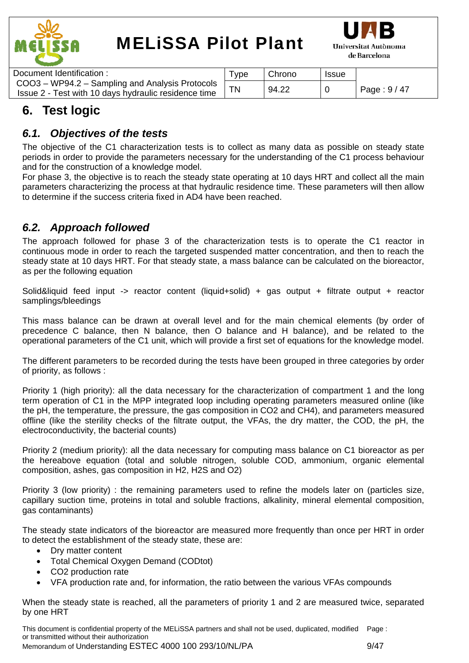



| Document Identification:                             | Type: | Chrono | <b>Issue</b> |              |
|------------------------------------------------------|-------|--------|--------------|--------------|
| COO3 – WP94.2 – Sampling and Analysis Protocols      |       |        |              |              |
| Issue 2 - Test with 10 days hydraulic residence time |       | 94.22  |              | Page: $9/47$ |
|                                                      |       |        |              |              |

## **6. Test logic**

### *6.1. Objectives of the tests*

The objective of the C1 characterization tests is to collect as many data as possible on steady state periods in order to provide the parameters necessary for the understanding of the C1 process behaviour and for the construction of a knowledge model.

For phase 3, the objective is to reach the steady state operating at 10 days HRT and collect all the main parameters characterizing the process at that hydraulic residence time. These parameters will then allow to determine if the success criteria fixed in AD4 have been reached.

### *6.2. Approach followed*

The approach followed for phase 3 of the characterization tests is to operate the C1 reactor in continuous mode in order to reach the targeted suspended matter concentration, and then to reach the steady state at 10 days HRT. For that steady state, a mass balance can be calculated on the bioreactor, as per the following equation

Solid&liquid feed input -> reactor content (liquid+solid) + gas output + filtrate output + reactor samplings/bleedings

This mass balance can be drawn at overall level and for the main chemical elements (by order of precedence C balance, then N balance, then O balance and H balance), and be related to the operational parameters of the C1 unit, which will provide a first set of equations for the knowledge model.

The different parameters to be recorded during the tests have been grouped in three categories by order of priority, as follows :

Priority 1 (high priority): all the data necessary for the characterization of compartment 1 and the long term operation of C1 in the MPP integrated loop including operating parameters measured online (like the pH, the temperature, the pressure, the gas composition in CO2 and CH4), and parameters measured offline (like the sterility checks of the filtrate output, the VFAs, the dry matter, the COD, the pH, the electroconductivity, the bacterial counts)

Priority 2 (medium priority): all the data necessary for computing mass balance on C1 bioreactor as per the hereabove equation (total and soluble nitrogen, soluble COD, ammonium, organic elemental composition, ashes, gas composition in H2, H2S and O2)

Priority 3 (low priority) : the remaining parameters used to refine the models later on (particles size, capillary suction time, proteins in total and soluble fractions, alkalinity, mineral elemental composition, gas contaminants)

The steady state indicators of the bioreactor are measured more frequently than once per HRT in order to detect the establishment of the steady state, these are:

- Dry matter content
- Total Chemical Oxygen Demand (CODtot)
- CO2 production rate
- VFA production rate and, for information, the ratio between the various VFAs compounds

When the steady state is reached, all the parameters of priority 1 and 2 are measured twice, separated by one HRT

This document is confidential property of the MELiSSA partners and shall not be used, duplicated, modified Page : or transmitted without their authorization Memorandum of Understanding ESTEC 4000 100 293/10/NL/PA 9/47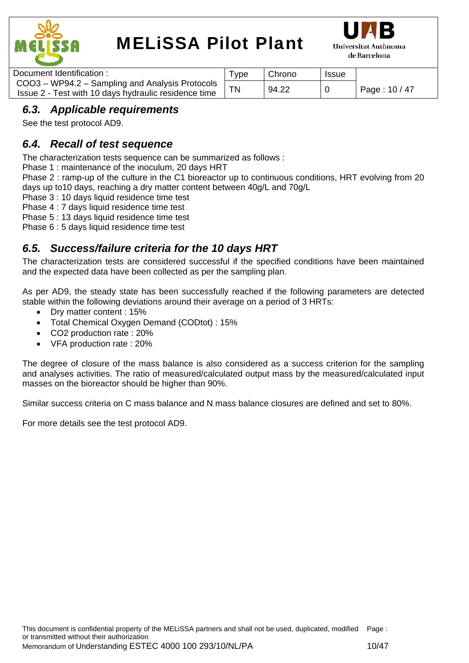



| Document Identification :                            | Type | Chrono | Issue |               |
|------------------------------------------------------|------|--------|-------|---------------|
| COO3 - WP94.2 - Sampling and Analysis Protocols      |      | 94.22  |       |               |
| Issue 2 - Test with 10 days hydraulic residence time |      |        |       | Page: 10 / 47 |

### *6.3. Applicable requirements*

See the test protocol AD9.

### *6.4. Recall of test sequence*

The characterization tests sequence can be summarized as follows :

Phase 1 : maintenance of the inoculum, 20 days HRT

Phase 2 : ramp-up of the culture in the C1 bioreactor up to continuous conditions, HRT evolving from 20 days up to10 days, reaching a dry matter content between 40g/L and 70g/L

Phase 3 : 10 days liquid residence time test

Phase 4 : 7 days liquid residence time test

Phase 5 : 13 days liquid residence time test

Phase 6 : 5 days liquid residence time test

### *6.5. Success/failure criteria for the 10 days HRT*

The characterization tests are considered successful if the specified conditions have been maintained and the expected data have been collected as per the sampling plan.

As per AD9, the steady state has been successfully reached if the following parameters are detected stable within the following deviations around their average on a period of 3 HRTs:

- Dry matter content : 15%
- Total Chemical Oxygen Demand (CODtot) : 15%
- CO2 production rate : 20%
- VFA production rate : 20%

The degree of closure of the mass balance is also considered as a success criterion for the sampling and analyses activities. The ratio of measured/calculated output mass by the measured/calculated input masses on the bioreactor should be higher than 90%.

Similar success criteria on C mass balance and N mass balance closures are defined and set to 80%.

For more details see the test protocol AD9.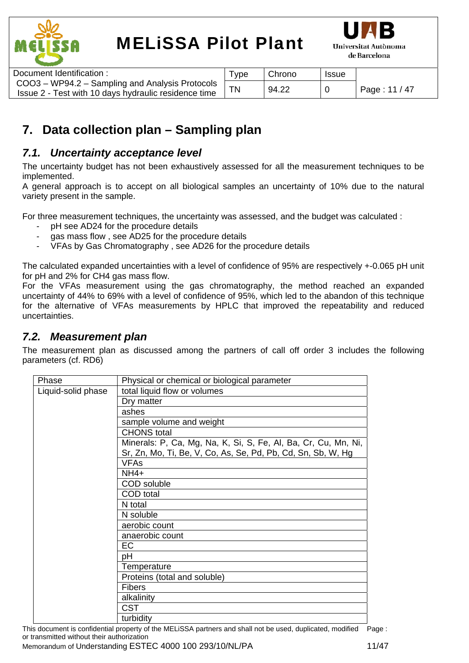



| Document Identification:                                                                                | vpe <sup>-</sup> | Chrono | <b>Issue</b> |               |
|---------------------------------------------------------------------------------------------------------|------------------|--------|--------------|---------------|
| COO3 - WP94.2 - Sampling and Analysis Protocols<br>Issue 2 - Test with 10 days hydraulic residence time |                  | 94.22  |              | Page: 11 / 47 |

## **7. Data collection plan – Sampling plan**

### *7.1. Uncertainty acceptance level*

The uncertainty budget has not been exhaustively assessed for all the measurement techniques to be implemented.

A general approach is to accept on all biological samples an uncertainty of 10% due to the natural variety present in the sample.

For three measurement techniques, the uncertainty was assessed, and the budget was calculated :

- pH see AD24 for the procedure details
- gas mass flow, see AD25 for the procedure details
- VFAs by Gas Chromatography, see AD26 for the procedure details

The calculated expanded uncertainties with a level of confidence of 95% are respectively +-0.065 pH unit for pH and 2% for CH4 gas mass flow.

For the VFAs measurement using the gas chromatography, the method reached an expanded uncertainty of 44% to 69% with a level of confidence of 95%, which led to the abandon of this technique for the alternative of VFAs measurements by HPLC that improved the repeatability and reduced uncertainties.

### *7.2. Measurement plan*

The measurement plan as discussed among the partners of call off order 3 includes the following parameters (cf. RD6)

| Phase              | Physical or chemical or biological parameter                   |
|--------------------|----------------------------------------------------------------|
| Liquid-solid phase | total liquid flow or volumes                                   |
|                    | Dry matter                                                     |
|                    | ashes                                                          |
|                    | sample volume and weight                                       |
|                    | <b>CHONS</b> total                                             |
|                    | Minerals: P, Ca, Mg, Na, K, Si, S, Fe, Al, Ba, Cr, Cu, Mn, Ni, |
|                    | Sr, Zn, Mo, Ti, Be, V, Co, As, Se, Pd, Pb, Cd, Sn, Sb, W, Hg   |
|                    | <b>VFAs</b>                                                    |
|                    | $NH4+$                                                         |
|                    | COD soluble                                                    |
|                    | COD total                                                      |
|                    | N total                                                        |
|                    | N soluble                                                      |
|                    | aerobic count                                                  |
|                    | anaerobic count                                                |
|                    | EC                                                             |
|                    | рH                                                             |
|                    | Temperature                                                    |
|                    | Proteins (total and soluble)                                   |
|                    | <b>Fibers</b>                                                  |
|                    | alkalinity                                                     |
|                    | <b>CST</b>                                                     |
|                    | turbidity                                                      |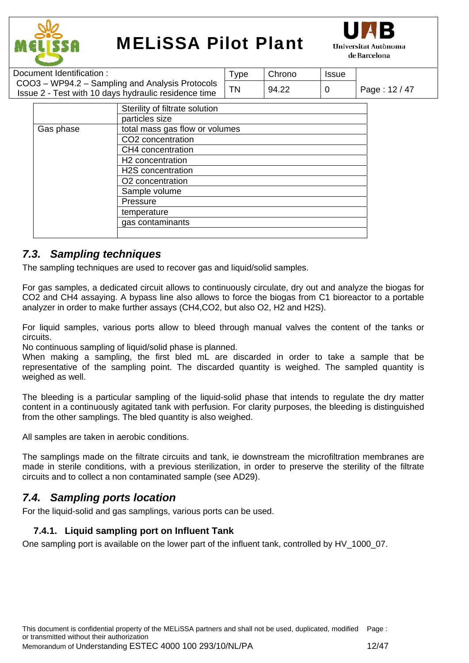



| Document Identification:                             | I ype     | Chrono | <b>Issue</b> |               |
|------------------------------------------------------|-----------|--------|--------------|---------------|
| COO3 - WP94.2 - Sampling and Analysis Protocols      | <b>TN</b> | 94.22  |              | Page: 12 / 47 |
| Issue 2 - Test with 10 days hydraulic residence time |           |        |              |               |

|           | Sterility of filtrate solution |
|-----------|--------------------------------|
|           | particles size                 |
| Gas phase | total mass gas flow or volumes |
|           | CO2 concentration              |
|           | CH4 concentration              |
|           | H <sub>2</sub> concentration   |
|           | H2S concentration              |
|           | O2 concentration               |
|           | Sample volume                  |
|           | Pressure                       |
|           | temperature                    |
|           | gas contaminants               |
|           |                                |

### *7.3. Sampling techniques*

The sampling techniques are used to recover gas and liquid/solid samples.

For gas samples, a dedicated circuit allows to continuously circulate, dry out and analyze the biogas for CO2 and CH4 assaying. A bypass line also allows to force the biogas from C1 bioreactor to a portable analyzer in order to make further assays (CH4,CO2, but also O2, H2 and H2S).

For liquid samples, various ports allow to bleed through manual valves the content of the tanks or circuits.

No continuous sampling of liquid/solid phase is planned.

When making a sampling, the first bled mL are discarded in order to take a sample that be representative of the sampling point. The discarded quantity is weighed. The sampled quantity is weighed as well.

The bleeding is a particular sampling of the liquid-solid phase that intends to regulate the dry matter content in a continuously agitated tank with perfusion. For clarity purposes, the bleeding is distinguished from the other samplings. The bled quantity is also weighed.

All samples are taken in aerobic conditions.

The samplings made on the filtrate circuits and tank, ie downstream the microfiltration membranes are made in sterile conditions, with a previous sterilization, in order to preserve the sterility of the filtrate circuits and to collect a non contaminated sample (see AD29).

### *7.4. Sampling ports location*

For the liquid-solid and gas samplings, various ports can be used.

### **7.4.1. Liquid sampling port on Influent Tank**

One sampling port is available on the lower part of the influent tank, controlled by HV 1000 07.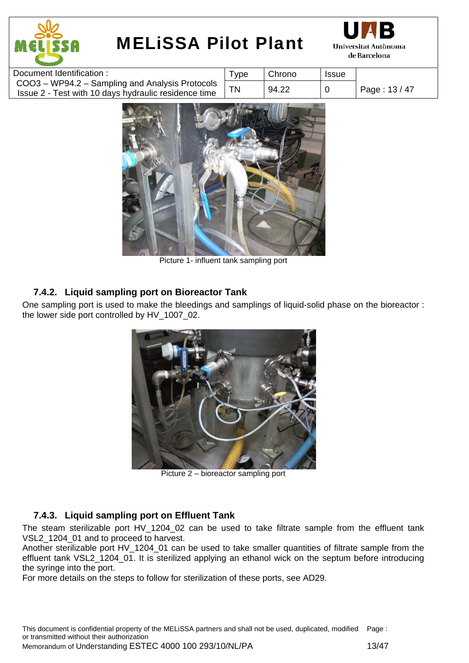



| Document Identification :                                                                               | $\tau_\mathsf{VDE}$ | Chrono | <b>Issue</b> |             |
|---------------------------------------------------------------------------------------------------------|---------------------|--------|--------------|-------------|
| COO3 - WP94.2 - Sampling and Analysis Protocols<br>Issue 2 - Test with 10 days hydraulic residence time | <b>TN</b>           | 94.22  |              | Page: 13/47 |
|                                                                                                         |                     |        |              |             |



Picture 1- influent tank sampling port

### **7.4.2. Liquid sampling port on Bioreactor Tank**

One sampling port is used to make the bleedings and samplings of liquid-solid phase on the bioreactor : the lower side port controlled by HV\_1007\_02.



Picture 2 – bioreactor sampling port

### **7.4.3. Liquid sampling port on Effluent Tank**

The steam sterilizable port HV\_1204\_02 can be used to take filtrate sample from the effluent tank VSL2 1204 01 and to proceed to harvest.

Another sterilizable port HV\_1204\_01 can be used to take smaller quantities of filtrate sample from the effluent tank VSL2 1204 01. It is sterilized applying an ethanol wick on the septum before introducing the syringe into the port.

For more details on the steps to follow for sterilization of these ports, see AD29.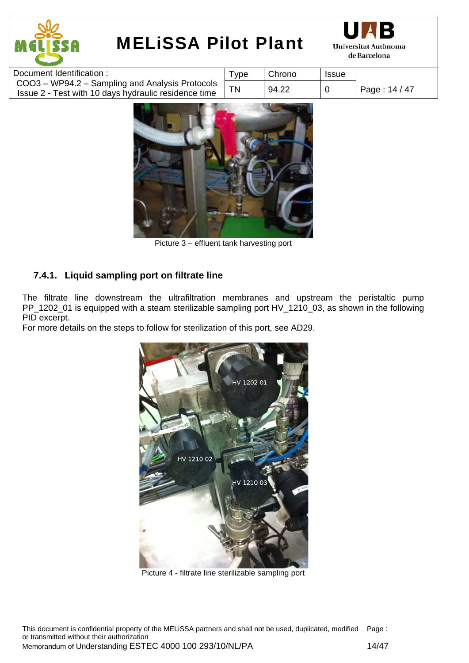



| Document Identification:                                                                                | $\tau_{\text{ype}}$ | Chrono | <b>Issue</b> |               |
|---------------------------------------------------------------------------------------------------------|---------------------|--------|--------------|---------------|
| COO3 - WP94.2 - Sampling and Analysis Protocols<br>Issue 2 - Test with 10 days hydraulic residence time | ΤN                  | 94.22  |              | Page: 14 / 47 |



Picture 3 – effluent tank harvesting port

### **7.4.1. Liquid sampling port on filtrate line**

The filtrate line downstream the ultrafiltration membranes and upstream the peristaltic pump PP\_1202\_01 is equipped with a steam sterilizable sampling port HV\_1210\_03, as shown in the following PID excerpt.

For more details on the steps to follow for sterilization of this port, see AD29.



Picture 4 - filtrate line sterilizable sampling port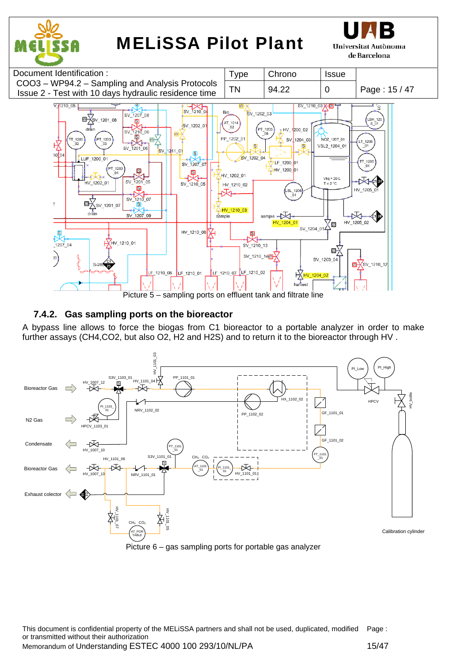

Picture 5 – sampling ports on effluent tank and filtrate line

### **7.4.2. Gas sampling ports on the bioreactor**

A bypass line allows to force the biogas from C1 bioreactor to a portable analyzer in order to make further assays (CH4,CO2, but also O2, H2 and H2S) and to return it to the bioreactor through HV .





This document is confidential property of the MELiSSA partners and shall not be used, duplicated, modified or transmitted without their authorization Page : Memorandum of Understanding ESTEC 4000 100 293/10/NL/PA 15/47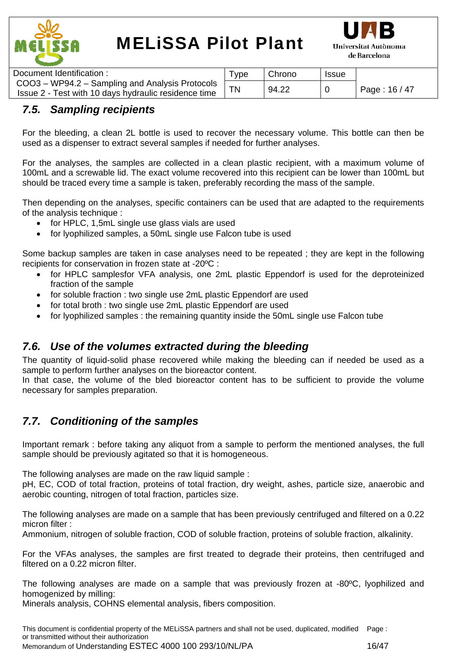



| Document Identification:                                                                                | $\tau_{\text{VDE}}$ | Chrono | <b>Issue</b> |               |
|---------------------------------------------------------------------------------------------------------|---------------------|--------|--------------|---------------|
| COO3 - WP94.2 - Sampling and Analysis Protocols<br>Issue 2 - Test with 10 days hydraulic residence time | TN                  | 94.22  |              | Page: 16 / 47 |
|                                                                                                         |                     |        |              |               |

### *7.5. Sampling recipients*

For the bleeding, a clean 2L bottle is used to recover the necessary volume. This bottle can then be used as a dispenser to extract several samples if needed for further analyses.

For the analyses, the samples are collected in a clean plastic recipient, with a maximum volume of 100mL and a screwable lid. The exact volume recovered into this recipient can be lower than 100mL but should be traced every time a sample is taken, preferably recording the mass of the sample.

Then depending on the analyses, specific containers can be used that are adapted to the requirements of the analysis technique :

- for HPLC, 1,5mL single use glass vials are used
- for Ivophilized samples, a 50mL single use Falcon tube is used

Some backup samples are taken in case analyses need to be repeated ; they are kept in the following recipients for conservation in frozen state at -20ºC :

- for HPLC samplesfor VFA analysis, one 2mL plastic Eppendorf is used for the deproteinized fraction of the sample
- for soluble fraction : two single use 2mL plastic Eppendorf are used
- for total broth : two single use 2mL plastic Eppendorf are used
- for lyophilized samples : the remaining quantity inside the 50mL single use Falcon tube

### *7.6. Use of the volumes extracted during the bleeding*

The quantity of liquid-solid phase recovered while making the bleeding can if needed be used as a sample to perform further analyses on the bioreactor content.

In that case, the volume of the bled bioreactor content has to be sufficient to provide the volume necessary for samples preparation.

### *7.7. Conditioning of the samples*

Important remark : before taking any aliquot from a sample to perform the mentioned analyses, the full sample should be previously agitated so that it is homogeneous.

The following analyses are made on the raw liquid sample :

pH, EC, COD of total fraction, proteins of total fraction, dry weight, ashes, particle size, anaerobic and aerobic counting, nitrogen of total fraction, particles size.

The following analyses are made on a sample that has been previously centrifuged and filtered on a 0.22 micron filter :

Ammonium, nitrogen of soluble fraction, COD of soluble fraction, proteins of soluble fraction, alkalinity.

For the VFAs analyses, the samples are first treated to degrade their proteins, then centrifuged and filtered on a 0.22 micron filter.

The following analyses are made on a sample that was previously frozen at -80ºC, lyophilized and homogenized by milling:

Minerals analysis, COHNS elemental analysis, fibers composition.

This document is confidential property of the MELiSSA partners and shall not be used, duplicated, modified Page : or transmitted without their authorization Memorandum of Understanding ESTEC 4000 100 293/10/NL/PA 16/47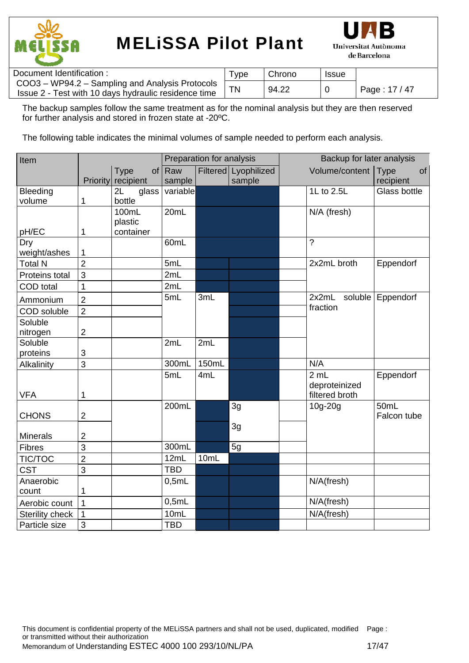



| Document Identification :                                                                               | 'ype | Chrono | <b>Issue</b> |               |
|---------------------------------------------------------------------------------------------------------|------|--------|--------------|---------------|
| COO3 - WP94.2 - Sampling and Analysis Protocols<br>Issue 2 - Test with 10 days hydraulic residence time |      | 94.22  |              | Page: 17 / 47 |

The backup samples follow the same treatment as for the nominal analysis but they are then reserved for further analysis and stored in frozen state at -20ºC.

The following table indicates the minimal volumes of sample needed to perform each analysis.

| Item               |                |                      |            | Preparation for analysis |                      | Backup for later analysis |                   |
|--------------------|----------------|----------------------|------------|--------------------------|----------------------|---------------------------|-------------------|
|                    |                | <b>Type</b><br>of    | Raw        |                          | Filtered Lyophilized | Volume/content            | <b>Type</b><br>of |
|                    |                | Priority recipient   | sample     |                          | sample               |                           | recipient         |
| Bleeding           |                | 2L<br>glass          | variable   |                          |                      | 1L to 2.5L                | Glass bottle      |
| volume             | 1              | bottle               |            |                          |                      |                           |                   |
|                    |                | 100mL                | 20mL       |                          |                      | N/A (fresh)               |                   |
| pH/EC              | 1              | plastic<br>container |            |                          |                      |                           |                   |
| Dry                |                |                      | 60mL       |                          |                      | $\gamma$                  |                   |
| weight/ashes       | 1              |                      |            |                          |                      |                           |                   |
| <b>Total N</b>     | $\overline{2}$ |                      | 5mL        |                          |                      | 2x2mL broth               | Eppendorf         |
| Proteins total     | 3              |                      | 2mL        |                          |                      |                           |                   |
|                    | 1              |                      | 2mL        |                          |                      |                           |                   |
| <b>COD</b> total   |                |                      | 5mL        | 3mL                      |                      | 2x2mL<br>soluble          |                   |
| Ammonium           | $\overline{2}$ |                      |            |                          |                      | fraction                  | Eppendorf         |
| <b>COD</b> soluble | $\overline{2}$ |                      |            |                          |                      |                           |                   |
| Soluble            |                |                      |            |                          |                      |                           |                   |
| nitrogen           | $\overline{2}$ |                      |            |                          |                      |                           |                   |
| Soluble            |                |                      | 2mL        | 2mL                      |                      |                           |                   |
| proteins           | 3              |                      |            |                          |                      |                           |                   |
| Alkalinity         | 3              |                      | 300mL      | 150mL                    |                      | N/A                       |                   |
|                    |                |                      | 5mL        | 4mL                      |                      | 2 mL                      | Eppendorf         |
|                    |                |                      |            |                          |                      | deproteinized             |                   |
| <b>VFA</b>         | 1              |                      |            |                          |                      | filtered broth            |                   |
|                    |                |                      | 200mL      |                          | 3g                   | 10g-20g                   | 50mL              |
| <b>CHONS</b>       | $\overline{2}$ |                      |            |                          |                      |                           | Falcon tube       |
| <b>Minerals</b>    | $\overline{2}$ |                      |            |                          | 3g                   |                           |                   |
| <b>Fibres</b>      | $\overline{3}$ |                      | 300mL      |                          | 5g                   |                           |                   |
|                    | $\overline{2}$ |                      | 12mL       | 10mL                     |                      |                           |                   |
| TIC/TOC            |                |                      | <b>TBD</b> |                          |                      |                           |                   |
| <b>CST</b>         | 3              |                      |            |                          |                      |                           |                   |
| Anaerobic          |                |                      | 0,5mL      |                          |                      | N/A(fresh)                |                   |
| count              | 1              |                      |            |                          |                      |                           |                   |
| Aerobic count      | $\mathbf 1$    |                      | 0,5mL      |                          |                      | N/A(fresh)                |                   |
| Sterility check    | 1              |                      | 10mL       |                          |                      | N/A(fresh)                |                   |
| Particle size      | 3              |                      | <b>TBD</b> |                          |                      |                           |                   |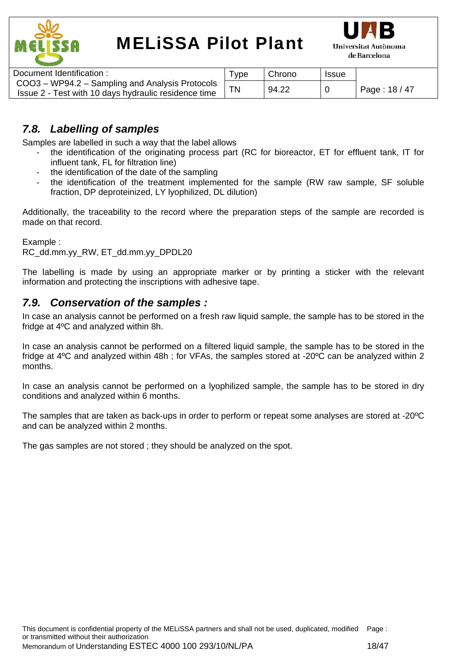



| Document Identification :                            | ™уре | Chrono | <b>Issue</b> |               |
|------------------------------------------------------|------|--------|--------------|---------------|
| COO3 – WP94.2 – Sampling and Analysis Protocols      |      |        |              |               |
| Issue 2 - Test with 10 days hydraulic residence time |      | 94.22  |              | Page: $18/47$ |
|                                                      |      |        |              |               |

### *7.8. Labelling of samples*

Samples are labelled in such a way that the label allows

- the identification of the originating process part (RC for bioreactor, ET for effluent tank, IT for influent tank, FL for filtration line)
- the identification of the date of the sampling
- the identification of the treatment implemented for the sample (RW raw sample, SF soluble fraction, DP deproteinized, LY lyophilized, DL dilution)

Additionally, the traceability to the record where the preparation steps of the sample are recorded is made on that record.

Example :

RC\_dd.mm.yy\_RW, ET\_dd.mm.yy\_DPDL20

The labelling is made by using an appropriate marker or by printing a sticker with the relevant information and protecting the inscriptions with adhesive tape.

### *7.9. Conservation of the samples :*

In case an analysis cannot be performed on a fresh raw liquid sample, the sample has to be stored in the fridge at 4ºC and analyzed within 8h.

In case an analysis cannot be performed on a filtered liquid sample, the sample has to be stored in the fridge at 4ºC and analyzed within 48h ; for VFAs, the samples stored at -20ºC can be analyzed within 2 months.

In case an analysis cannot be performed on a lyophilized sample, the sample has to be stored in dry conditions and analyzed within 6 months.

The samples that are taken as back-ups in order to perform or repeat some analyses are stored at -20ºC and can be analyzed within 2 months.

The gas samples are not stored ; they should be analyzed on the spot.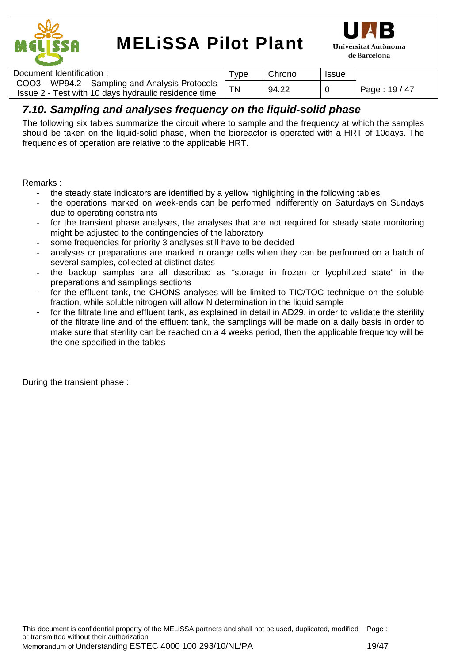



| Document Identification:                                                                                | vpe | Chrono | <b>Issue</b> |               |
|---------------------------------------------------------------------------------------------------------|-----|--------|--------------|---------------|
| COO3 - WP94.2 - Sampling and Analysis Protocols<br>Issue 2 - Test with 10 days hydraulic residence time |     | 94.22  |              | Page: 19 / 47 |

### *7.10. Sampling and analyses frequency on the liquid-solid phase*

The following six tables summarize the circuit where to sample and the frequency at which the samples should be taken on the liquid-solid phase, when the bioreactor is operated with a HRT of 10days. The frequencies of operation are relative to the applicable HRT.

Remarks :

- the steady state indicators are identified by a yellow highlighting in the following tables
- the operations marked on week-ends can be performed indifferently on Saturdays on Sundays due to operating constraints
- for the transient phase analyses, the analyses that are not required for steady state monitoring might be adjusted to the contingencies of the laboratory
- some frequencies for priority 3 analyses still have to be decided
- analyses or preparations are marked in orange cells when they can be performed on a batch of several samples, collected at distinct dates
- the backup samples are all described as "storage in frozen or lyophilized state" in the preparations and samplings sections
- for the effluent tank, the CHONS analyses will be limited to TIC/TOC technique on the soluble fraction, while soluble nitrogen will allow N determination in the liquid sample
- for the filtrate line and effluent tank, as explained in detail in AD29, in order to validate the sterility of the filtrate line and of the effluent tank, the samplings will be made on a daily basis in order to make sure that sterility can be reached on a 4 weeks period, then the applicable frequency will be the one specified in the tables

During the transient phase :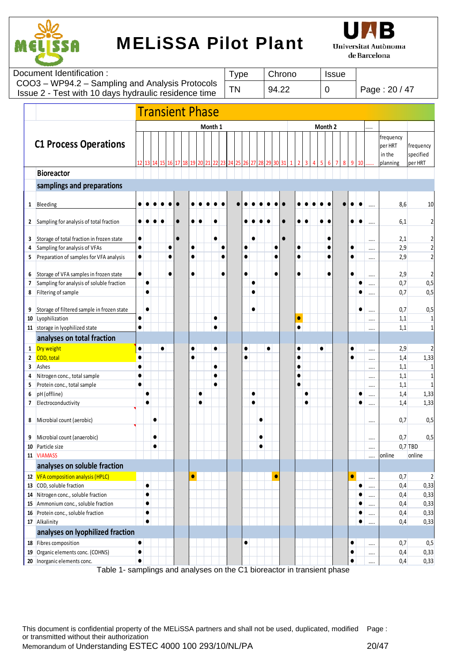



|              | Document Identification :                                   |                        |           |           |           |                        |           |         |                        |           | <b>Type</b> |           |           |           |           | Chrono    |           |   |  |             | <b>Issue</b> |           |           |          |               |            |                         |
|--------------|-------------------------------------------------------------|------------------------|-----------|-----------|-----------|------------------------|-----------|---------|------------------------|-----------|-------------|-----------|-----------|-----------|-----------|-----------|-----------|---|--|-------------|--------------|-----------|-----------|----------|---------------|------------|-------------------------|
|              | COO3 - WP94.2 - Sampling and Analysis Protocols             |                        |           |           |           |                        |           |         |                        | <b>TN</b> |             |           |           |           |           |           |           |   |  |             |              |           |           |          |               |            |                         |
|              | Issue 2 - Test with 10 days hydraulic residence time        |                        |           |           |           |                        |           |         |                        |           |             |           |           |           |           | 94.22     |           |   |  | $\mathbf 0$ |              |           |           |          | Page: 20 / 47 |            |                         |
|              |                                                             |                        |           |           |           |                        |           |         |                        |           |             |           |           |           |           |           |           |   |  |             |              |           |           |          |               |            |                         |
|              |                                                             |                        |           |           |           | <b>Transient Phase</b> |           |         |                        |           |             |           |           |           |           |           |           |   |  |             |              |           |           |          |               |            |                         |
|              |                                                             |                        |           |           |           |                        |           | Month 1 |                        |           |             |           |           |           |           |           |           |   |  | Month 2     |              |           |           |          |               |            |                         |
|              |                                                             |                        |           |           |           |                        |           |         |                        |           |             |           |           |           |           |           |           |   |  |             |              |           |           |          | frequency     |            |                         |
|              | <b>C1 Process Operations</b>                                |                        |           |           |           |                        |           |         |                        |           |             |           |           |           |           |           |           |   |  |             |              |           |           |          | per HRT       |            | frequency               |
|              |                                                             |                        |           |           |           |                        |           |         |                        |           |             |           |           |           |           |           |           |   |  |             |              |           |           |          | in the        |            | specified               |
|              |                                                             |                        |           |           |           |                        |           |         |                        |           |             |           |           |           |           |           |           |   |  |             |              |           |           |          | planning      |            | per HRT                 |
|              | <b>Bioreactor</b>                                           |                        |           |           |           |                        |           |         |                        |           |             |           |           |           |           |           |           |   |  |             |              |           |           |          |               |            |                         |
|              | samplings and preparations                                  |                        |           |           |           |                        |           |         |                        |           |             |           |           |           |           |           |           |   |  |             |              |           |           |          |               |            |                         |
|              |                                                             |                        |           |           |           |                        |           |         |                        |           |             |           |           |           |           |           |           |   |  |             |              |           |           |          |               |            |                         |
|              | 1 Bleeding                                                  |                        |           |           |           |                        |           |         |                        |           |             |           |           |           |           |           |           |   |  |             |              |           |           |          |               | 8,6        | 10                      |
|              | 2 Sampling for analysis of total fraction                   |                        |           |           |           |                        |           |         |                        |           |             |           |           |           |           |           |           |   |  |             |              |           |           |          |               | 6,1        | 2                       |
|              |                                                             |                        |           |           |           |                        |           |         |                        |           |             |           |           |           |           |           |           |   |  |             |              |           |           |          |               |            |                         |
|              | 3 Storage of total fraction in frozen state                 | $\bullet$              |           |           |           |                        |           |         |                        |           |             |           | ٠         |           |           | $\bullet$ |           |   |  |             |              |           |           | $\cdots$ |               | 2,1        | 2                       |
| 4            | Sampling for analysis of VFAs                               | $\bullet$              |           |           |           |                        |           |         | C                      |           |             |           |           |           |           |           |           |   |  |             |              | $\bullet$ |           |          |               | 2,9        | $\overline{\mathbf{c}}$ |
| 5            | Preparation of samples for VFA analysis                     | $\bullet$              |           |           |           |                        | $\bullet$ |         |                        |           |             |           |           |           |           |           | $\bullet$ |   |  |             |              |           |           |          |               | 2,9        | $\overline{c}$          |
|              |                                                             |                        |           |           |           |                        |           |         |                        |           |             |           |           |           |           |           |           |   |  |             |              |           |           |          |               |            |                         |
| 6            | Storage of VFA samples in frozen state                      | $\bullet$              |           |           |           |                        | $\bullet$ |         | $\bullet$              |           |             | $\bullet$ |           |           |           |           | $\bullet$ |   |  |             |              | $\bullet$ |           |          |               | 2,9        | 2                       |
| 7            | Sampling for analysis of soluble fraction                   |                        | $\bullet$ |           |           |                        |           |         |                        |           |             |           | $\bullet$ |           |           |           |           |   |  |             |              |           |           |          |               | 0,7        | 0,5                     |
| 8            | Filtering of sample                                         |                        | $\bullet$ |           |           |                        |           |         |                        |           |             |           |           |           |           |           |           |   |  |             |              |           |           |          |               | 0,7        | 0,5                     |
|              |                                                             |                        |           |           |           |                        |           |         |                        |           |             |           |           |           |           |           |           |   |  |             |              |           |           |          |               |            |                         |
| 9            | Storage of filtered sample in frozen state                  |                        | $\bullet$ |           |           |                        |           |         |                        |           |             |           |           |           |           |           |           |   |  |             |              |           | ٠         |          |               | 0,7        | 0,5                     |
|              | 10 Lyophilization                                           | $\bullet$<br>$\bullet$ |           |           |           |                        |           |         | $\bullet$<br>$\bullet$ |           |             |           |           |           |           |           |           |   |  |             |              |           |           |          |               | 1,1        | 1                       |
|              | 11 storage in lyophilized state                             |                        |           |           |           |                        |           |         |                        |           |             |           |           |           |           |           |           |   |  |             |              |           |           |          |               | 1,1        | $1\,$                   |
|              | analyses on total fraction                                  |                        |           |           |           |                        |           |         |                        |           |             |           |           |           |           |           |           |   |  |             |              |           |           |          |               |            |                         |
|              | 1 Dry weight                                                | $\bullet$              |           |           | $\bullet$ |                        |           |         | $\bullet$              |           |             | $\bullet$ |           | $\bullet$ |           |           |           |   |  |             |              | $\bullet$ |           |          |               | 2,9        | 2                       |
| $\mathbf{2}$ | COD, total                                                  |                        |           |           |           |                        |           |         |                        |           |             | $\bullet$ |           |           |           |           |           |   |  |             |              |           |           | $\cdots$ |               | 1,4        | 1,33                    |
| 3            | Ashes                                                       |                        |           |           |           |                        |           |         | $\bullet$              |           |             |           |           |           |           |           | $\bullet$ |   |  |             |              |           |           |          |               | 1,1        | 1                       |
| 4<br>5       | Nitrogen conc., total sample<br>Protein conc., total sample | $\bullet$<br>$\bullet$ |           |           |           |                        |           |         |                        |           |             |           |           |           |           |           | c         |   |  |             |              |           |           |          |               | 1,1<br>1,1 | 1<br>$\mathbf{1}$       |
| 6            | pH (offline)                                                |                        | $\bullet$ |           |           |                        |           |         |                        |           |             |           |           |           |           |           |           | C |  |             |              |           |           |          |               | 1,4        | 1,33                    |
| 7            | Electroconductivity                                         |                        | $\bullet$ |           |           |                        |           |         |                        |           |             |           |           |           |           |           |           |   |  |             |              |           |           |          |               | 1,4        | 1,33                    |
|              |                                                             |                        |           |           |           |                        |           |         |                        |           |             |           |           |           |           |           |           |   |  |             |              |           |           | $\cdots$ |               |            |                         |
| 8            | Microbial count (aerobic)                                   |                        |           |           |           |                        |           |         |                        |           |             |           |           | ٠         |           |           |           |   |  |             |              |           |           |          |               | 0,7        | 0,5                     |
|              |                                                             |                        |           |           |           |                        |           |         |                        |           |             |           |           |           |           |           |           |   |  |             |              |           |           |          |               |            |                         |
| 9            | Microbial count (anaerobic)                                 |                        |           |           |           |                        |           |         |                        |           |             |           |           | $\bullet$ |           |           |           |   |  |             |              |           |           |          |               | 0,7        | 0,5                     |
| 10           | Particle size                                               |                        |           | $\bullet$ |           |                        |           |         |                        |           |             |           |           | $\bullet$ |           |           |           |   |  |             |              |           |           |          |               |            | $0.7$ TBD               |
|              | 11 VIAMASS                                                  |                        |           |           |           |                        |           |         |                        |           |             |           |           |           |           |           |           |   |  |             |              |           |           |          | online        |            | online                  |
|              | analyses on soluble fraction                                |                        |           |           |           |                        |           |         |                        |           |             |           |           |           |           |           |           |   |  |             |              |           |           |          |               |            |                         |
|              | 12 VFA composition analysis (HPLC)                          |                        |           |           |           |                        | 0         |         |                        |           |             |           |           |           | $\bullet$ |           |           |   |  |             |              | $\bullet$ |           |          |               | 0,7        | $\overline{2}$          |
|              | 13 COD, soluble fraction                                    |                        | $\bullet$ |           |           |                        |           |         |                        |           |             |           |           |           |           |           |           |   |  |             |              |           |           |          |               | 0,4        | 0,33                    |
|              | 14 Nitrogen conc., soluble fraction                         |                        | $\bullet$ |           |           |                        |           |         |                        |           |             |           |           |           |           |           |           |   |  |             |              |           |           |          |               | 0,4        | 0,33                    |
| 15           | Ammonium conc., soluble fraction                            |                        | $\bullet$ |           |           |                        |           |         |                        |           |             |           |           |           |           |           |           |   |  |             |              |           |           |          |               | 0,4        | 0,33                    |
| 16           | Protein conc., soluble fraction                             |                        | $\bullet$ |           |           |                        |           |         |                        |           |             |           |           |           |           |           |           |   |  |             |              |           | ٠         |          |               | 0,4        | 0,33                    |
|              | 17 Alkalinity                                               |                        | $\bullet$ |           |           |                        |           |         |                        |           |             |           |           |           |           |           |           |   |  |             |              |           | $\bullet$ | $\cdots$ |               | 0,4        | 0,33                    |
|              | analyses on lyophilized fraction                            |                        |           |           |           |                        |           |         |                        |           |             |           |           |           |           |           |           |   |  |             |              |           |           |          |               |            |                         |
|              | 18 Fibres composition                                       | $\bullet$              |           |           |           |                        |           |         |                        |           |             | $\bullet$ |           |           |           |           |           |   |  |             |              | $\bullet$ |           |          |               | 0,7        | 0,5                     |
|              | 19 Organic elements conc. (COHNS)                           | 0                      |           |           |           |                        |           |         |                        |           |             |           |           |           |           |           |           |   |  |             |              | $\bullet$ |           | $\cdots$ |               | 0,4        | 0,33                    |
|              | 20 Inorganic elements conc.                                 |                        |           |           |           |                        |           |         |                        |           |             |           |           |           |           |           |           |   |  |             |              | $\bullet$ |           | $\cdots$ |               | 0,4        | 0,33                    |

Table 1- samplings and analyses on the C1 bioreactor in transient phase

This document is confidential property of the MELiSSA partners and shall not be used, duplicated, modified Page : or transmitted without their authorization Memorandum of Understanding ESTEC 4000 100 293/10/NL/PA 20/47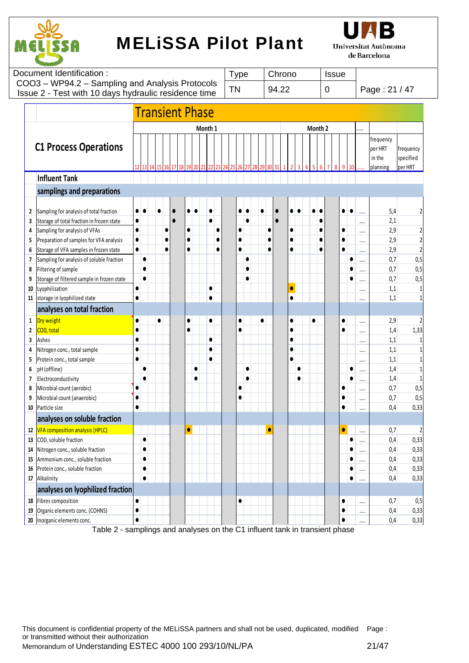



| Document Identification:                                                                                | Tvpe | Chrono | <b>Issue</b> |               |
|---------------------------------------------------------------------------------------------------------|------|--------|--------------|---------------|
| COO3 - WP94.2 - Sampling and Analysis Protocols<br>Issue 2 - Test with 10 days hydraulic residence time | TN   | 94.22  |              | Page: 21 / 47 |
|                                                                                                         |      |        |              |               |

|                                                             |                                                                                                                                                                                                                                                                                                                              |                                                                            |                                     |           |           | <b>Transient Phase</b> |                                     |           |                        |                                     |    |                     |                        |           |           |    |                                     |           |           |         |   |                                     |           |                              |                                                      |                                                                     |
|-------------------------------------------------------------|------------------------------------------------------------------------------------------------------------------------------------------------------------------------------------------------------------------------------------------------------------------------------------------------------------------------------|----------------------------------------------------------------------------|-------------------------------------|-----------|-----------|------------------------|-------------------------------------|-----------|------------------------|-------------------------------------|----|---------------------|------------------------|-----------|-----------|----|-------------------------------------|-----------|-----------|---------|---|-------------------------------------|-----------|------------------------------|------------------------------------------------------|---------------------------------------------------------------------|
|                                                             |                                                                                                                                                                                                                                                                                                                              |                                                                            |                                     |           |           |                        |                                     |           | Month 1                |                                     |    |                     |                        |           |           |    |                                     |           |           | Month 2 |   |                                     |           |                              |                                                      |                                                                     |
|                                                             | <b>C1 Process Operations</b>                                                                                                                                                                                                                                                                                                 | 12                                                                         | 13                                  | 14<br>15  | 16        | 18<br>17               | 19                                  | 20        | 21                     |                                     | 24 | 26                  | 27                     | 29        | 30        | 31 |                                     |           |           | 6       | 8 | 9                                   | 10        |                              | frequency<br>per HRT<br>in the<br>planning           | frequency<br>specified<br>per HRT                                   |
|                                                             | <b>Influent Tank</b>                                                                                                                                                                                                                                                                                                         |                                                                            |                                     |           |           |                        |                                     |           |                        |                                     |    |                     |                        |           |           |    |                                     |           |           |         |   |                                     |           |                              |                                                      |                                                                     |
|                                                             | samplings and preparations                                                                                                                                                                                                                                                                                                   |                                                                            |                                     |           |           |                        |                                     |           |                        |                                     |    |                     |                        |           |           |    |                                     |           |           |         |   |                                     |           |                              |                                                      |                                                                     |
| 2<br>3<br>4<br>5<br>6<br>$\overline{\phantom{a}}$<br>8<br>9 | Sampling for analysis of total fraction<br>Storage of total fraction in frozen state<br>Sampling for analysis of VFAs<br>Preparation of samples for VFA analysis<br>Storage of VFA samples in frozen state<br>Sampling for analysis of soluble fraction<br>Filtering of sample<br>Storage of filtered sample in frozen state | $\bullet$<br>$\bullet$<br>$\bullet$<br>$\bullet$<br>$\bullet$<br>$\bullet$ | $\bullet$<br>$\bullet$<br>$\bullet$ | $\bullet$ | $\bullet$ | $\bullet$              | $\bullet$<br>$\bullet$<br>$\bullet$ |           |                        | $\bullet$<br>$\bullet$<br>$\bullet$ |    | O<br>0<br>$\bullet$ | $\bullet$<br>$\bullet$ |           | $\bullet$ |    | $\bullet$<br>$\bullet$<br>$\bullet$ |           |           | C       |   | $\bullet$<br>$\bullet$<br>$\bullet$ |           | <br><br><br><br><br><br><br> | 5,4<br>2,1<br>2,9<br>2,9<br>2,9<br>0,7<br>0,7<br>0,7 | 2<br>$\overline{c}$<br>$\overline{\mathbf{c}}$<br>0,5<br>0,5<br>0,5 |
| 10<br>11                                                    | Lyophilization<br>storage in lyophilized state                                                                                                                                                                                                                                                                               | $\bullet$                                                                  |                                     |           |           |                        |                                     |           | $\bullet$<br>$\bullet$ |                                     |    |                     |                        |           |           |    | $\bullet$<br>$\bullet$              |           |           |         |   |                                     |           |                              | 1,1<br>1,1                                           | -1<br>1                                                             |
|                                                             | analyses on total fraction                                                                                                                                                                                                                                                                                                   |                                                                            |                                     |           |           |                        |                                     |           |                        |                                     |    |                     |                        |           |           |    |                                     |           |           |         |   |                                     |           |                              |                                                      |                                                                     |
| 1                                                           | Dry weight                                                                                                                                                                                                                                                                                                                   | $\bullet$                                                                  |                                     | $\bullet$ |           |                        | $\bullet$                           |           | $\bullet$              |                                     |    | 0                   |                        | $\bullet$ |           |    | 0                                   |           | $\bullet$ |         |   | $\bullet$                           |           |                              | 2,9                                                  | 2                                                                   |
| 2                                                           | COD, total                                                                                                                                                                                                                                                                                                                   | $\bullet$                                                                  |                                     |           |           |                        | $\bullet$                           |           |                        |                                     |    |                     |                        |           |           |    | 0                                   |           |           |         |   | $\bullet$                           |           | <br>                         | 1,4                                                  | 1,33                                                                |
| 3                                                           | Ashes                                                                                                                                                                                                                                                                                                                        | $\bullet$                                                                  |                                     |           |           |                        |                                     |           | $\bullet$              |                                     |    |                     |                        |           |           |    | $\bullet$                           |           |           |         |   |                                     |           |                              | 1,1                                                  | $\mathbf{1}$                                                        |
| 4                                                           | Nitrogen conc., total sample                                                                                                                                                                                                                                                                                                 | $\bullet$                                                                  |                                     |           |           |                        |                                     |           | 0                      |                                     |    |                     |                        |           |           |    | $\bullet$                           |           |           |         |   |                                     |           | $\cdots$                     | 1,1                                                  | 1                                                                   |
| 5                                                           | Protein conc., total sample                                                                                                                                                                                                                                                                                                  | $\bullet$                                                                  |                                     |           |           |                        |                                     |           |                        |                                     |    |                     |                        |           |           |    | $\bullet$                           |           |           |         |   |                                     |           |                              | 1,1                                                  | 1                                                                   |
| 6                                                           | pH (offline)                                                                                                                                                                                                                                                                                                                 |                                                                            | $\bullet$                           |           |           |                        |                                     | $\bullet$ |                        |                                     |    |                     | $\bullet$              |           |           |    |                                     | $\bullet$ |           |         |   |                                     |           |                              | 1,4                                                  | 1                                                                   |
| 7                                                           | Electroconductivity                                                                                                                                                                                                                                                                                                          |                                                                            |                                     |           |           |                        |                                     |           |                        |                                     |    |                     |                        |           |           |    |                                     | $\bullet$ |           |         |   |                                     |           |                              | 1,4                                                  | 1                                                                   |
| 8                                                           | Microbial count (aerobic)                                                                                                                                                                                                                                                                                                    | $\bullet$                                                                  |                                     |           |           |                        |                                     |           |                        |                                     |    |                     |                        |           |           |    |                                     |           |           |         |   | $\bullet$                           |           |                              | 0,7                                                  | 0,5                                                                 |
| 9                                                           | Microbial count (anaerobic)                                                                                                                                                                                                                                                                                                  | $\bullet$                                                                  |                                     |           |           |                        |                                     |           |                        |                                     |    |                     |                        |           |           |    |                                     |           |           |         |   |                                     |           |                              | 0,7                                                  | 0,5                                                                 |
| 10                                                          | Particle size                                                                                                                                                                                                                                                                                                                | $\bullet$                                                                  |                                     |           |           |                        |                                     |           |                        |                                     |    |                     |                        |           |           |    |                                     |           |           |         |   | $\bullet$                           |           |                              | 0,4                                                  | 0,33                                                                |
|                                                             | analyses on soluble fraction                                                                                                                                                                                                                                                                                                 |                                                                            |                                     |           |           |                        |                                     |           |                        |                                     |    |                     |                        |           |           |    |                                     |           |           |         |   |                                     |           |                              |                                                      |                                                                     |
| 12                                                          | <b>VFA composition analysis (HPLC)</b>                                                                                                                                                                                                                                                                                       |                                                                            |                                     |           |           |                        | $\bullet$                           |           |                        |                                     |    |                     |                        |           | ۵         |    |                                     |           |           |         |   | $\bullet$                           |           |                              | 0,7                                                  | 2                                                                   |
| 13                                                          | COD, soluble fraction                                                                                                                                                                                                                                                                                                        |                                                                            | $\bullet$                           |           |           |                        |                                     |           |                        |                                     |    |                     |                        |           |           |    |                                     |           |           |         |   |                                     |           |                              | 0,4                                                  | 0,33                                                                |
| 14                                                          | Nitrogen conc., soluble fraction                                                                                                                                                                                                                                                                                             |                                                                            |                                     |           |           |                        |                                     |           |                        |                                     |    |                     |                        |           |           |    |                                     |           |           |         |   |                                     |           |                              | 0,4                                                  | 0,33                                                                |
|                                                             | 15 Ammonium conc., soluble fraction                                                                                                                                                                                                                                                                                          |                                                                            |                                     |           |           |                        |                                     |           |                        |                                     |    |                     |                        |           |           |    |                                     |           |           |         |   |                                     |           |                              | 0.4                                                  | 0,33                                                                |
| 16                                                          | Protein conc., soluble fraction                                                                                                                                                                                                                                                                                              |                                                                            |                                     |           |           |                        |                                     |           |                        |                                     |    |                     |                        |           |           |    |                                     |           |           |         |   |                                     | 0         |                              | 0,4                                                  | 0,33                                                                |
|                                                             | 17 Alkalinity                                                                                                                                                                                                                                                                                                                |                                                                            | $\bullet$                           |           |           |                        |                                     |           |                        |                                     |    |                     |                        |           |           |    |                                     |           |           |         |   |                                     | $\bullet$ |                              | 0,4                                                  | 0,33                                                                |
|                                                             | analyses on lyophilized fraction                                                                                                                                                                                                                                                                                             |                                                                            |                                     |           |           |                        |                                     |           |                        |                                     |    |                     |                        |           |           |    |                                     |           |           |         |   |                                     |           |                              |                                                      |                                                                     |
| 18                                                          | Fibres composition                                                                                                                                                                                                                                                                                                           | $\bullet$                                                                  |                                     |           |           |                        |                                     |           |                        |                                     |    | $\bullet$           |                        |           |           |    |                                     |           |           |         |   | $\bullet$                           |           | $\cdots$                     | 0,7                                                  | 0,5                                                                 |
| 19                                                          | Organic elements conc. (COHNS)                                                                                                                                                                                                                                                                                               | $\bullet$                                                                  |                                     |           |           |                        |                                     |           |                        |                                     |    |                     |                        |           |           |    |                                     |           |           |         |   | $\bullet$                           |           | $\cdots$                     | 0,4                                                  | 0,33                                                                |
|                                                             | 20 Inorganic elements conc.<br>$T_0$ <sub>ble</sub> $\Omega$                                                                                                                                                                                                                                                                 | $\bullet$                                                                  |                                     |           |           |                        |                                     |           |                        |                                     |    |                     |                        |           |           |    |                                     |           |           |         |   | $\bullet$                           |           |                              | 0,4                                                  | 0,33                                                                |

Table 2 - samplings and analyses on the C1 influent tank in transient phase

This document is confidential property of the MELiSSA partners and shall not be used, duplicated, modified Page : or transmitted without their authorization Memorandum of Understanding ESTEC 4000 100 293/10/NL/PA 21/47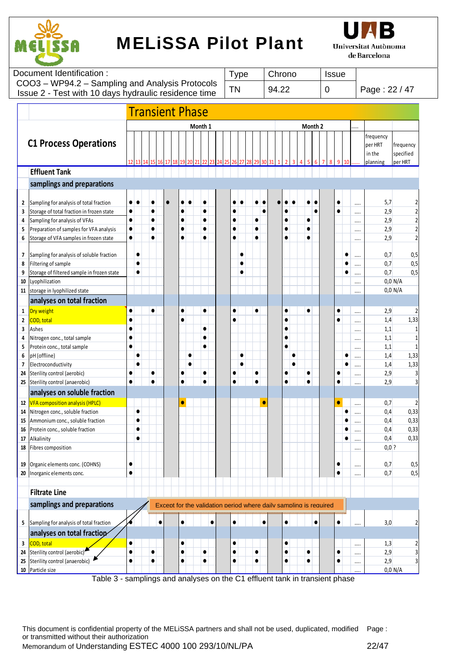



| Document Identification:                                                                                | Type | Chrono | <b>Issue</b> |               |
|---------------------------------------------------------------------------------------------------------|------|--------|--------------|---------------|
| COO3 - WP94.2 - Sampling and Analysis Protocols<br>Issue 2 - Test with 10 days hydraulic residence time | ΤN   | 94.22  |              | Page: 22 / 47 |
| Tranciant Dhaca                                                                                         |      |        |              |               |

|                         |                                                                                   |                        |                        |                        | <b>Transient Phase</b>                                            |                        |           |                        |           |                        |           |           |           |                        |           |                        |         |           |           |          |                                            |                                   |
|-------------------------|-----------------------------------------------------------------------------------|------------------------|------------------------|------------------------|-------------------------------------------------------------------|------------------------|-----------|------------------------|-----------|------------------------|-----------|-----------|-----------|------------------------|-----------|------------------------|---------|-----------|-----------|----------|--------------------------------------------|-----------------------------------|
|                         |                                                                                   |                        |                        |                        |                                                                   |                        | Month 1   |                        |           |                        |           |           |           |                        |           |                        | Month 2 |           |           | .        |                                            |                                   |
|                         | <b>C1 Process Operations</b>                                                      | 12                     |                        |                        |                                                                   |                        |           |                        |           |                        |           |           |           |                        |           |                        |         |           |           |          | frequency<br>per HRT<br>in the<br>planning | frequency<br>specified<br>per HRT |
|                         | <b>Effluent Tank</b>                                                              |                        |                        |                        |                                                                   |                        |           |                        |           |                        |           |           |           |                        |           |                        |         |           |           |          |                                            |                                   |
|                         | samplings and preparations                                                        |                        |                        |                        |                                                                   |                        |           |                        |           |                        |           |           |           |                        |           |                        |         |           |           |          |                                            |                                   |
|                         |                                                                                   |                        |                        |                        |                                                                   |                        |           |                        |           |                        |           |           |           |                        |           |                        |         |           |           |          |                                            |                                   |
| $\overline{2}$          | Sampling for analysis of total fraction                                           | $\bullet$              | $\bullet$              | $\bullet$              |                                                                   |                        |           |                        |           |                        |           |           |           |                        |           |                        |         | $\bullet$ |           |          | 5,7                                        | 2                                 |
| 3                       | Storage of total fraction in frozen state                                         | $\bullet$              |                        | $\bullet$              |                                                                   |                        |           | $\bullet$              |           |                        |           |           | $\bullet$ | $\bullet$              |           |                        |         | $\bullet$ |           |          | 2,9                                        | $\overline{\mathbf{c}}$           |
| 4                       | Sampling for analysis of VFAs                                                     | $\bullet$              |                        | $\bullet$              |                                                                   |                        |           | $\bullet$              |           | 0                      |           |           |           | $\bullet$              |           | $\bullet$              |         |           |           |          | 2,9                                        | $\overline{\mathbf{c}}$           |
| 5<br>6                  | Preparation of samples for VFA analysis<br>Storage of VFA samples in frozen state | $\bullet$<br>$\bullet$ |                        | $\bullet$<br>$\bullet$ |                                                                   | $\bullet$<br>$\bullet$ |           | $\bullet$<br>$\bullet$ |           | $\bullet$<br>$\bullet$ |           | $\bullet$ |           | $\bullet$<br>$\bullet$ |           | $\bullet$<br>$\bullet$ |         |           |           |          | 2,9<br>2,9                                 | $\overline{2}$<br>$\overline{2}$  |
|                         |                                                                                   |                        |                        |                        |                                                                   |                        |           |                        |           |                        |           |           |           |                        |           |                        |         |           |           |          |                                            |                                   |
| 7                       | Sampling for analysis of soluble fraction                                         |                        | $\bullet$              |                        |                                                                   |                        |           |                        |           |                        | ٠         |           |           |                        |           |                        |         |           | 0         |          | 0,7                                        | 0,5                               |
| 8                       | Filtering of sample                                                               |                        | $\bullet$              |                        |                                                                   |                        |           |                        |           |                        |           |           |           |                        |           |                        |         |           |           |          | 0,7                                        | 0,5                               |
| 9                       | Storage of filtered sample in frozen state                                        |                        | $\bullet$              |                        |                                                                   |                        |           |                        |           |                        |           |           |           |                        |           |                        |         |           |           |          | 0,7                                        | 0,5                               |
| 10                      | Lyophilization                                                                    |                        |                        |                        |                                                                   |                        |           |                        |           |                        |           |           |           |                        |           |                        |         |           |           |          |                                            | $0,0$ N/A                         |
| 11                      | storage in lyophilized state                                                      |                        |                        |                        |                                                                   |                        |           |                        |           |                        |           |           |           |                        |           |                        |         |           |           |          |                                            | $0,0$ N/A                         |
|                         | analyses on total fraction                                                        |                        |                        |                        |                                                                   |                        |           |                        |           |                        |           |           |           |                        |           |                        |         |           |           |          |                                            |                                   |
| 1                       | Dry weight                                                                        | $\bullet$              |                        | $\bullet$              |                                                                   | $\bullet$              |           | $\bullet$              |           | $\bullet$              |           | $\bullet$ |           | $\bullet$              |           | $\bullet$              |         | $\bullet$ |           |          | 2,9                                        | $\overline{2}$                    |
| $\overline{2}$          | COD, total                                                                        | $\bullet$              |                        |                        |                                                                   |                        |           |                        |           | $\bullet$              |           |           |           | $\bullet$              |           |                        |         | $\bullet$ |           |          | 1,4                                        | 1,33                              |
| 3                       | Ashes                                                                             | $\bullet$              |                        |                        |                                                                   |                        |           | $\bullet$              |           |                        |           |           |           | $\bullet$              |           |                        |         |           |           |          | 1,1                                        | $\mathbf{1}$                      |
| 4                       | Nitrogen conc., total sample                                                      | $\bullet$              |                        |                        |                                                                   |                        |           | $\bullet$              |           |                        |           |           |           | $\bullet$              |           |                        |         |           |           | $\cdots$ | 1,1                                        | $\mathbf{1}$                      |
| 5                       | Protein conc., total sample                                                       | $\bullet$              |                        |                        |                                                                   |                        |           | $\bullet$              |           |                        |           |           |           | $\bullet$              |           |                        |         |           |           |          | 1,1                                        | $\mathbf{1}$                      |
| 6                       | pH (offline)                                                                      |                        | $\bullet$              |                        |                                                                   |                        | $\bullet$ |                        |           |                        | $\bullet$ |           |           |                        | $\bullet$ |                        |         |           | $\bullet$ |          | 1,4                                        | 1,33                              |
| $\overline{\mathbf{z}}$ | Electroconductivity                                                               |                        |                        |                        |                                                                   |                        | $\bullet$ |                        |           |                        | $\bullet$ |           |           |                        | C         |                        |         |           | $\bullet$ |          | 1,4                                        | 1,33                              |
| 24                      | Sterility control (aerobic)                                                       | $\bullet$<br>$\bullet$ |                        | $\bullet$<br>$\bullet$ |                                                                   | ė                      |           | $\bullet$              |           |                        |           | $\bullet$ |           | $\bullet$              |           | C<br>$\bullet$         |         | $\bullet$ |           | $\cdots$ | 2,9                                        | 3                                 |
| 25                      | Sterility control (anaerobic)                                                     |                        |                        |                        |                                                                   |                        |           |                        |           | $\bullet$              |           |           |           |                        |           |                        |         | $\bullet$ |           |          | 2,9                                        | $\overline{3}$                    |
|                         | analyses on soluble fraction                                                      |                        |                        |                        |                                                                   |                        |           |                        |           |                        |           |           |           |                        |           |                        |         |           |           |          |                                            |                                   |
| $12\,$                  | <b>VFA composition analysis (HPLC)</b>                                            |                        |                        |                        |                                                                   |                        |           |                        |           |                        |           |           | о         |                        |           |                        |         | $\bullet$ |           |          | 0,7                                        | $\overline{2}$                    |
| 14                      | Nitrogen conc., soluble fraction                                                  |                        | $\bullet$              |                        |                                                                   |                        |           |                        |           |                        |           |           |           |                        |           |                        |         |           | $\bullet$ |          | 0,4                                        | 0,33                              |
| 15                      | Ammonium conc., soluble fraction                                                  |                        | $\bullet$<br>$\bullet$ |                        |                                                                   |                        |           |                        |           |                        |           |           |           |                        |           |                        |         |           |           |          | 0,4                                        | 0,33                              |
| 16<br>17                | Protein conc., soluble fraction<br>Alkalinity                                     |                        | $\bullet$              |                        |                                                                   |                        |           |                        |           |                        |           |           |           |                        |           |                        |         |           | $\bullet$ | $\cdots$ | 0,4<br>0,4                                 | 0,33<br>0,33                      |
| 18                      | Fibres composition                                                                |                        |                        |                        |                                                                   |                        |           |                        |           |                        |           |           |           |                        |           |                        |         |           |           |          | $0,0$ ?                                    |                                   |
|                         |                                                                                   |                        |                        |                        |                                                                   |                        |           |                        |           |                        |           |           |           |                        |           |                        |         |           |           |          |                                            |                                   |
| 19                      | Organic elements conc. (COHNS)                                                    | $\bullet$              |                        |                        |                                                                   |                        |           |                        |           |                        |           |           |           |                        |           |                        |         | $\bullet$ |           | $\cdots$ | 0,7                                        | 0,5                               |
|                         | 20 Inorganic elements conc.                                                       | $\bullet$              |                        |                        |                                                                   |                        |           |                        |           |                        |           |           |           |                        |           |                        |         | $\bullet$ |           |          | 0,7                                        | 0,5                               |
|                         | <b>Filtrate Line</b>                                                              |                        |                        |                        |                                                                   |                        |           |                        |           |                        |           |           |           |                        |           |                        |         |           |           |          |                                            |                                   |
|                         | samplings and preparations                                                        |                        |                        |                        | Except for the validation period where daily sampling is required |                        |           |                        |           |                        |           |           |           |                        |           |                        |         |           |           |          |                                            |                                   |
| 5                       | Sampling for analysis of total fraction                                           |                        |                        |                        | $\bullet$                                                         | $\bullet$              |           |                        | $\bullet$ | $\bullet$              |           |           | $\bullet$ | $\bullet$              |           |                        |         | $\bullet$ |           |          | 3,0                                        | 2                                 |
|                         | analyses on total fraction                                                        |                        |                        |                        |                                                                   |                        |           |                        |           |                        |           |           |           |                        |           |                        |         |           |           |          |                                            |                                   |
| 3                       | COD, total                                                                        | $\bullet$              |                        |                        |                                                                   |                        |           |                        |           | $\bullet$              |           |           |           | $\bullet$              |           |                        |         |           |           | $\cdots$ | 1,3                                        | $\overline{2}$                    |
| 24                      | Sterility control (aerobic)                                                       | $\bullet$              |                        | $\bullet$              |                                                                   | $\bullet$              |           | $\bullet$              |           | 0                      |           | $\bullet$ |           | $\bullet$              |           | $\bullet$              |         | $\bullet$ |           |          | 2,9                                        | 3                                 |
| 25                      | Sterility control (anaerobic)                                                     | $\bullet$              |                        | $\bullet$              |                                                                   | $\bullet$              |           | $\bullet$              |           | $\bullet$              |           | $\bullet$ |           | $\bullet$              |           | $\bullet$              |         | $\bullet$ |           |          | 2,9                                        | 3                                 |
| 10                      | Particle size                                                                     |                        |                        |                        |                                                                   |                        |           |                        |           |                        |           |           |           |                        |           |                        |         |           |           |          |                                            | $0,0$ N/A                         |

Table 3 - samplings and analyses on the C1 effluent tank in transient phase

This document is confidential property of the MELiSSA partners and shall not be used, duplicated, modified Page : or transmitted without their authorization Memorandum of Understanding ESTEC 4000 100 293/10/NL/PA 22/47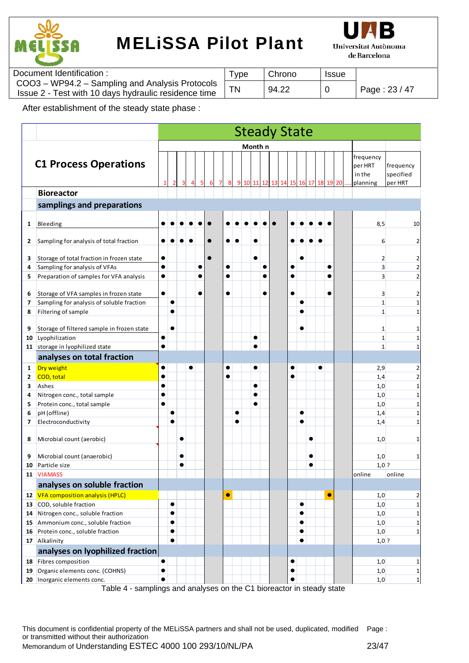



| Document Identification:                                                                                | i ype | Chrono | <b>Issue</b> |               |
|---------------------------------------------------------------------------------------------------------|-------|--------|--------------|---------------|
| COO3 - WP94.2 - Sampling and Analysis Protocols<br>Issue 2 - Test with 10 days hydraulic residence time |       | 94.22  |              | Page: 23 / 47 |

After establishment of the steady state phase :

|                          |                                            |           |           |           |  |  |           |           |         |           |           | <b>Steady State</b> |           |           |                |   |           |  |                                            |                                   |
|--------------------------|--------------------------------------------|-----------|-----------|-----------|--|--|-----------|-----------|---------|-----------|-----------|---------------------|-----------|-----------|----------------|---|-----------|--|--------------------------------------------|-----------------------------------|
|                          |                                            |           |           |           |  |  |           |           | Month n |           |           |                     |           |           |                |   |           |  |                                            |                                   |
|                          | <b>C1 Process Operations</b>               |           |           |           |  |  |           | 9         |         |           |           | 10 11 12 13 14 15   |           |           | 16 17 18 19 20 |   |           |  | frequency<br>per HRT<br>in the<br>planning | frequency<br>specified<br>per HRT |
|                          | <b>Bioreactor</b>                          |           |           |           |  |  |           |           |         |           |           |                     |           |           |                |   |           |  |                                            |                                   |
|                          | samplings and preparations                 |           |           |           |  |  |           |           |         |           |           |                     |           |           |                |   |           |  |                                            |                                   |
|                          |                                            |           |           |           |  |  |           |           |         |           |           |                     |           |           |                |   |           |  |                                            |                                   |
| 1                        | Bleeding                                   |           |           |           |  |  |           |           |         |           |           |                     |           |           |                |   |           |  | 8,5                                        | 10                                |
|                          |                                            |           |           |           |  |  |           |           |         |           |           |                     |           |           |                |   |           |  |                                            |                                   |
| 2                        | Sampling for analysis of total fraction    |           |           |           |  |  |           |           |         |           |           |                     |           |           |                |   |           |  | 6                                          | $\overline{2}$                    |
| 3                        | Storage of total fraction in frozen state  | $\bullet$ |           |           |  |  |           |           |         | $\bullet$ |           |                     |           |           |                |   |           |  | 2                                          | $\mathbf{2}$                      |
| 4                        | Sampling for analysis of VFAs              | $\bullet$ |           |           |  |  | $\bullet$ |           |         |           | $\bullet$ |                     |           |           |                |   | $\bullet$ |  | 3                                          | $\overline{2}$                    |
| 5                        | Preparation of samples for VFA analysis    | $\bullet$ |           |           |  |  | $\bullet$ |           |         |           | c         |                     | $\bullet$ |           |                |   |           |  | 3                                          | $\overline{2}$                    |
|                          |                                            |           |           |           |  |  |           |           |         |           |           |                     |           |           |                |   |           |  |                                            |                                   |
| 6                        | Storage of VFA samples in frozen state     | $\bullet$ |           |           |  |  |           |           |         |           | c         |                     |           |           |                |   |           |  | 3                                          |                                   |
| 7                        | Sampling for analysis of soluble fraction  |           | ●         |           |  |  |           |           |         |           |           |                     |           | ●         |                |   |           |  | $\mathbf{1}$                               | $\mathbf{1}$                      |
| 8                        | Filtering of sample                        |           |           |           |  |  |           |           |         |           |           |                     |           |           |                |   |           |  | $\mathbf{1}$                               | $\mathbf{1}$                      |
| 9                        | Storage of filtered sample in frozen state |           | $\bullet$ |           |  |  |           |           |         |           |           |                     |           |           |                |   |           |  | 1                                          | 1                                 |
| 10                       | Lyophilization                             | $\bullet$ |           |           |  |  |           |           |         | $\bullet$ |           |                     |           |           |                |   |           |  | $\mathbf{1}$                               | $\mathbf{1}$                      |
|                          | 11 storage in lyophilized state            | $\bullet$ |           |           |  |  |           |           |         |           |           |                     |           |           |                |   |           |  | $\mathbf{1}$                               | $\mathbf{1}$                      |
|                          | analyses on total fraction                 |           |           |           |  |  |           |           |         |           |           |                     |           |           |                |   |           |  |                                            |                                   |
| 1                        | Dry weight                                 |           |           |           |  |  |           |           |         |           |           |                     |           |           |                | e |           |  | 2,9                                        |                                   |
| 2                        | COD, total                                 | $\bullet$ |           |           |  |  |           |           |         |           |           |                     |           |           |                |   |           |  | 1,4                                        | $\overline{2}$                    |
| 3                        | Ashes                                      | $\bullet$ |           |           |  |  |           |           |         | $\bullet$ |           |                     |           |           |                |   |           |  | 1,0                                        | $1\vert$                          |
| 4                        | Nitrogen conc., total sample               | $\bullet$ |           |           |  |  |           |           |         |           |           |                     |           |           |                |   |           |  | 1,0                                        | $1\overline{ }$                   |
| 5                        | Protein conc., total sample                | $\bullet$ |           |           |  |  |           |           |         | $\bullet$ |           |                     |           |           |                |   |           |  | 1,0                                        | $1\vert$                          |
| 6                        | pH (offline)                               |           | $\bullet$ |           |  |  |           | $\bullet$ |         |           |           |                     |           | $\bullet$ |                |   |           |  | 1,4                                        | $1\overline{ }$                   |
| $\overline{\phantom{a}}$ | Electroconductivity                        |           | ●         |           |  |  |           | 0         |         |           |           |                     |           |           |                |   |           |  | 1,4                                        | $\mathbf 1$                       |
|                          |                                            |           |           |           |  |  |           |           |         |           |           |                     |           |           |                |   |           |  |                                            |                                   |
| 8                        | Microbial count (aerobic)                  |           |           |           |  |  |           |           |         |           |           |                     |           |           | e              |   |           |  | 1,0                                        | 1                                 |
| 9                        | Microbial count (anaerobic)                |           |           |           |  |  |           |           |         |           |           |                     |           |           |                |   |           |  | 1,0                                        | 1                                 |
| 10                       | Particle size                              |           |           | $\bullet$ |  |  |           |           |         |           |           |                     |           |           | $\bullet$      |   |           |  | $1,0$ ?                                    |                                   |
| 11                       | <b>VIAMASS</b>                             |           |           |           |  |  |           |           |         |           |           |                     |           |           |                |   |           |  | online                                     | online                            |
|                          | analyses on soluble fraction               |           |           |           |  |  |           |           |         |           |           |                     |           |           |                |   |           |  |                                            |                                   |
|                          | 12 VFA composition analysis (HPLC)         |           |           |           |  |  | $\bullet$ |           |         |           |           |                     |           |           |                |   | $\bullet$ |  | 1,0                                        | $\overline{2}$                    |
| 13                       | COD, soluble fraction                      |           | $\bullet$ |           |  |  |           |           |         |           |           |                     |           | $\bullet$ |                |   |           |  | 1,0                                        | $1\vert$                          |
| 14                       | Nitrogen conc., soluble fraction           |           | $\bullet$ |           |  |  |           |           |         |           |           |                     |           | $\bullet$ |                |   |           |  | 1,0                                        | $1\vert$                          |
| 15                       | Ammonium conc., soluble fraction           |           | $\bullet$ |           |  |  |           |           |         |           |           |                     |           | $\bullet$ |                |   |           |  | 1,0                                        | $1\vert$                          |
| 16                       | Protein conc., soluble fraction            |           | $\bullet$ |           |  |  |           |           |         |           |           |                     |           | $\bullet$ |                |   |           |  | 1,0                                        | $1\vert$                          |
|                          | 17 Alkalinity                              |           | $\bullet$ |           |  |  |           |           |         |           |           |                     |           | $\bullet$ |                |   |           |  | $1,0$ ?                                    |                                   |
|                          | analyses on lyophilized fraction           |           |           |           |  |  |           |           |         |           |           |                     |           |           |                |   |           |  |                                            |                                   |
| 18                       | Fibres composition                         | $\bullet$ |           |           |  |  |           |           |         |           |           |                     |           |           |                |   |           |  | 1,0                                        | $\mathbf{1}$                      |
| 19                       | Organic elements conc. (COHNS)             | $\bullet$ |           |           |  |  |           |           |         |           |           |                     |           |           |                |   |           |  | 1,0                                        | $1\vert$                          |
|                          | 20 Inorganic elements conc.                | $\bullet$ |           |           |  |  |           |           |         |           |           |                     |           |           |                |   |           |  | 1,0                                        | $\mathbf{1}$                      |

Table 4 - samplings and analyses on the C1 bioreactor in steady state

This document is confidential property of the MELiSSA partners and shall not be used, duplicated, modified Page : or transmitted without their authorization Memorandum of Understanding ESTEC 4000 100 293/10/NL/PA 23/47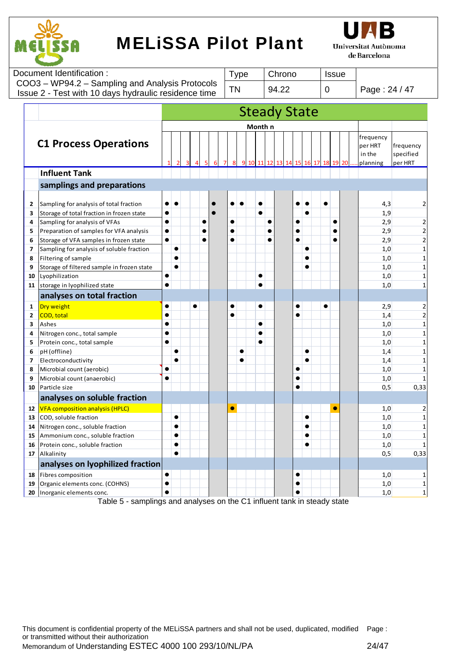



|                          | Document Identification:                                                 |                        |                                                                         |           |  | <b>Type</b> |           |    | Chrono              |           |           |             | <b>Issue</b>      |                                            |                                   |
|--------------------------|--------------------------------------------------------------------------|------------------------|-------------------------------------------------------------------------|-----------|--|-------------|-----------|----|---------------------|-----------|-----------|-------------|-------------------|--------------------------------------------|-----------------------------------|
|                          | COO3 - WP94.2 - Sampling and Analysis Protocols                          |                        |                                                                         |           |  | <b>TN</b>   |           |    | 94.22               |           |           | $\mathbf 0$ |                   | Page: 24 / 47                              |                                   |
|                          | Issue 2 - Test with 10 days hydraulic residence time                     |                        |                                                                         |           |  |             |           |    |                     |           |           |             |                   |                                            |                                   |
|                          |                                                                          |                        |                                                                         |           |  |             |           |    | <b>Steady State</b> |           |           |             |                   |                                            |                                   |
|                          |                                                                          |                        |                                                                         |           |  |             |           |    |                     |           |           |             |                   |                                            |                                   |
|                          |                                                                          |                        |                                                                         |           |  |             | Month n   |    |                     |           |           |             |                   |                                            |                                   |
|                          | <b>C1 Process Operations</b>                                             |                        |                                                                         |           |  |             | 11        | 12 | 13 14               |           |           |             | 15 16 17 18 19 20 | frequency<br>per HRT<br>in the<br>planning | frequency<br>specified<br>per HRT |
|                          | <b>Influent Tank</b>                                                     |                        |                                                                         |           |  |             |           |    |                     |           |           |             |                   |                                            |                                   |
|                          | samplings and preparations                                               |                        |                                                                         |           |  |             |           |    |                     |           |           |             |                   |                                            |                                   |
|                          |                                                                          |                        |                                                                         |           |  |             |           |    |                     |           |           |             |                   |                                            |                                   |
| 2                        | Sampling for analysis of total fraction                                  | $\bullet$              | $\bullet$                                                               |           |  | $\bullet$   | $\bullet$ |    |                     | $\bullet$ | $\bullet$ | $\bullet$   |                   | 4,3                                        | $\overline{2}$                    |
| 3                        | Storage of total fraction in frozen state                                | $\bullet$<br>$\bullet$ |                                                                         | $\bullet$ |  | $\bullet$   | $\bullet$ |    |                     |           | $\bullet$ |             |                   | 1,9                                        |                                   |
| 4<br>5                   | Sampling for analysis of VFAs<br>Preparation of samples for VFA analysis | $\bullet$              |                                                                         |           |  |             |           |    |                     | $\bullet$ |           |             |                   | 2,9<br>2,9                                 | $\overline{c}$<br>$\overline{a}$  |
| 6                        | Storage of VFA samples in frozen state                                   | $\bullet$              |                                                                         |           |  |             |           |    |                     | $\bullet$ |           |             |                   | 2,9                                        | $\mathbf 2$                       |
| $\overline{\phantom{a}}$ | Sampling for analysis of soluble fraction                                |                        | $\bullet$                                                               |           |  |             |           |    |                     |           |           |             |                   | 1,0                                        | $\mathbf 1$                       |
| 8                        | Filtering of sample                                                      |                        |                                                                         |           |  |             |           |    |                     |           |           |             |                   | 1,0                                        | $\mathbf 1$                       |
| 9                        | Storage of filtered sample in frozen state                               |                        |                                                                         |           |  |             |           |    |                     |           |           |             |                   | 1,0                                        | $\mathbf 1$                       |
| 10                       | Lyophilization                                                           |                        |                                                                         |           |  |             |           |    |                     |           |           |             |                   | 1,0                                        | $\mathbf 1$                       |
| 11                       | storage in lyophilized state                                             | $\bullet$              |                                                                         |           |  |             |           |    |                     |           |           |             |                   | 1,0                                        | $\mathbf{1}$                      |
|                          | analyses on total fraction                                               |                        |                                                                         |           |  |             |           |    |                     |           |           |             |                   |                                            |                                   |
| 1                        | Dry weight                                                               | $\bullet$              |                                                                         | $\bullet$ |  |             | $\bullet$ |    |                     | $\bullet$ |           | $\bullet$   |                   | 2,9                                        |                                   |
| $\overline{2}$           | COD, total                                                               |                        |                                                                         |           |  |             |           |    |                     |           |           |             |                   | 1,4                                        | $\mathbf 2$                       |
| 3                        | Ashes                                                                    | $\bullet$              |                                                                         |           |  |             |           |    |                     |           |           |             |                   | 1,0                                        | $\mathbf 1$                       |
| 4                        | Nitrogen conc., total sample                                             | $\bullet$              |                                                                         |           |  |             |           |    |                     |           |           |             |                   | 1,0                                        | $\mathbf 1$                       |
| 5                        | Protein conc., total sample                                              | $\bullet$              |                                                                         |           |  |             |           |    |                     |           |           |             |                   | 1,0                                        | $\mathbf 1$                       |
| 6                        | pH (offline)                                                             |                        |                                                                         |           |  |             |           |    |                     |           |           |             |                   | 1,4                                        | $\mathbf 1$                       |
| 7                        | Electroconductivity                                                      |                        |                                                                         |           |  |             |           |    |                     |           |           |             |                   | 1,4                                        | $\mathbf 1$                       |
| 8                        | Microbial count (aerobic)                                                |                        |                                                                         |           |  |             |           |    |                     | $\bullet$ |           |             |                   | 1,0                                        | $\mathbf{1}$                      |
| 9                        | Microbial count (anaerobic)                                              | $\bullet$              |                                                                         |           |  |             |           |    |                     |           |           |             |                   | 1,0                                        | $\mathbf{1}$                      |
| 10                       | Particle size                                                            |                        |                                                                         |           |  |             |           |    |                     | $\bullet$ |           |             |                   | 0,5                                        | 0,33                              |
|                          | analyses on soluble fraction                                             |                        |                                                                         |           |  |             |           |    |                     |           |           |             |                   |                                            |                                   |
|                          | 12   VFA composition analysis (HPLC)                                     |                        |                                                                         |           |  | $\bullet$   |           |    |                     |           |           |             | $\bullet$         | 1,0                                        | $\overline{2}$                    |
| 13                       | COD, soluble fraction                                                    |                        | $\bullet$                                                               |           |  |             |           |    |                     |           |           |             |                   | 1,0                                        | $\mathbf 1$                       |
| 14                       | Nitrogen conc., soluble fraction                                         |                        |                                                                         |           |  |             |           |    |                     |           |           |             |                   | 1,0                                        | $\mathbf{1}$                      |
| 15                       | Ammonium conc., soluble fraction                                         |                        | $\bullet$                                                               |           |  |             |           |    |                     |           | $\bullet$ |             |                   | 1,0                                        | $\mathbf{1}$                      |
| 16                       | Protein conc., soluble fraction                                          |                        | $\bullet$                                                               |           |  |             |           |    |                     |           |           |             |                   | 1,0                                        | $\mathbf{1}$                      |
| 17                       | Alkalinity                                                               |                        | $\bullet$                                                               |           |  |             |           |    |                     |           |           |             |                   | 0,5                                        | 0,33                              |
|                          | analyses on lyophilized fraction                                         |                        |                                                                         |           |  |             |           |    |                     |           |           |             |                   |                                            |                                   |
| 18                       | Fibres composition                                                       | $\bullet$              |                                                                         |           |  |             |           |    |                     | $\bullet$ |           |             |                   | 1,0                                        | $\mathbf{1}$                      |
| 19                       | Organic elements conc. (COHNS)                                           | $\bullet$              |                                                                         |           |  |             |           |    |                     |           |           |             |                   | 1,0                                        | $\mathbf{1}$                      |
| 20                       | Inorganic elements conc.                                                 |                        | Table 5 camplings and analyses on the C1 influent taple in stoody state |           |  |             |           |    |                     |           |           |             |                   | 1,0                                        | $\mathbf 1$                       |

Table 5 - samplings and analyses on the C1 influent tank in steady state

This document is confidential property of the MELiSSA partners and shall not be used, duplicated, modified Page : or transmitted without their authorization Memorandum of Understanding ESTEC 4000 100 293/10/NL/PA 24/47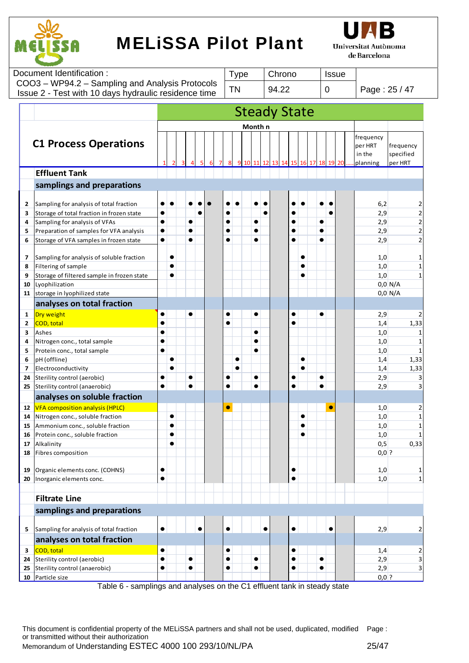



|        | Document Identification:                             |                        |           |           | <b>Type</b> |              | Chrono    | <b>Issue</b>                               |           |                      |                                  |
|--------|------------------------------------------------------|------------------------|-----------|-----------|-------------|--------------|-----------|--------------------------------------------|-----------|----------------------|----------------------------------|
|        | COO3 - WP94.2 - Sampling and Analysis Protocols      |                        |           |           |             | <b>TN</b>    |           | 94.22                                      | 0         | Page: 25 / 47        |                                  |
|        | Issue 2 - Test with 10 days hydraulic residence time |                        |           |           |             |              |           |                                            |           |                      |                                  |
|        |                                                      |                        |           |           |             |              |           | <b>Steady State</b>                        |           |                      |                                  |
|        |                                                      |                        |           |           |             |              |           |                                            |           |                      |                                  |
|        |                                                      |                        |           |           |             |              | Month n   |                                            |           |                      |                                  |
|        | <b>C1 Process Operations</b>                         |                        |           |           |             |              |           |                                            |           | frequency<br>per HRT | frequency                        |
|        |                                                      |                        |           |           |             |              |           |                                            |           | in the               | specified                        |
|        |                                                      |                        |           |           |             | $\mathbf{q}$ | 10 11     | 12<br>13 <sup>l</sup><br>14 15 16 17 18 19 | 20        | planning             | per HRT                          |
|        | <b>Effluent Tank</b>                                 |                        |           |           |             |              |           |                                            |           |                      |                                  |
|        | samplings and preparations                           |                        |           |           |             |              |           |                                            |           |                      |                                  |
|        |                                                      |                        |           |           |             |              |           |                                            |           |                      |                                  |
| 2      | Sampling for analysis of total fraction              |                        |           |           |             |              |           |                                            |           | 6,2                  |                                  |
| 3      | Storage of total fraction in frozen state            |                        |           |           |             |              |           |                                            |           | 2,9                  | $\overline{2}$                   |
| 4<br>5 | Sampling for analysis of VFAs                        | $\bullet$<br>$\bullet$ |           |           |             |              |           |                                            |           | 2,9                  | $\overline{2}$<br>$\overline{2}$ |
|        | Preparation of samples for VFA analysis              | $\bullet$              |           |           |             |              |           |                                            |           | 2,9                  |                                  |
| 6      | Storage of VFA samples in frozen state               |                        |           |           |             |              |           |                                            |           | 2,9                  |                                  |
| 7      | Sampling for analysis of soluble fraction            |                        |           |           |             |              |           | $\bullet$                                  |           | 1,0                  |                                  |
| 8      | Filtering of sample                                  |                        | $\bullet$ |           |             |              |           | $\bullet$                                  |           | 1,0                  | $\mathbf{1}$                     |
| 9      | Storage of filtered sample in frozen state           |                        |           |           |             |              |           |                                            |           | 1,0                  |                                  |
| 10     | Lyophilization                                       |                        |           |           |             |              |           |                                            |           |                      | $0,0$ N/A                        |
| 11     | storage in lyophilized state                         |                        |           |           |             |              |           |                                            |           |                      | $0,0$ N/A                        |
|        | analyses on total fraction                           |                        |           |           |             |              |           |                                            |           |                      |                                  |
| 1      | Dry weight                                           |                        |           | $\bullet$ |             | $\bullet$    | $\bullet$ | $\bullet$                                  | $\bullet$ | 2,9                  |                                  |
| 2      | <b>COD, total</b>                                    | $\bullet$              |           |           |             |              |           |                                            |           | 1,4                  | 1,33                             |
| З      | Ashes                                                | $\bullet$              |           |           |             |              | $\bullet$ |                                            |           | 1,0                  |                                  |
| 4      | Nitrogen conc., total sample                         | $\bullet$              |           |           |             |              | ●         |                                            |           | 1,0                  |                                  |
| 5      | Protein conc., total sample                          | $\bullet$              |           |           |             |              |           |                                            |           | 1,0                  |                                  |
| 6      | pH (offline)                                         |                        |           |           |             |              |           |                                            |           | 1,4                  | 1,33                             |
| 7      | Electroconductivity                                  |                        |           |           |             |              |           |                                            |           | 1,4                  | 1,33                             |
| 24     | Sterility control (aerobic)                          | $\bullet$              |           |           |             |              |           |                                            |           | 2,9                  |                                  |
| 25     | Sterility control (anaerobic)                        | $\bullet$              |           | $\bullet$ |             | $\bullet$    | $\bullet$ |                                            | $\bullet$ | 2,9                  |                                  |
|        | analyses on soluble fraction                         |                        |           |           |             |              |           |                                            |           |                      |                                  |
| 12     | <b>VFA</b> composition analysis (HPLC)               |                        |           |           |             |              |           |                                            |           | 1,0                  | 2                                |
|        | 14 Nitrogen conc., soluble fraction                  |                        |           |           |             |              |           |                                            |           | 1,0                  | $1\vert$                         |
| 15     | Ammonium conc., soluble fraction                     |                        |           |           |             |              |           |                                            |           | 1,0                  | 1                                |
| 16     | Protein conc., soluble fraction                      |                        |           |           |             |              |           |                                            |           | 1,0                  |                                  |
| 17     | Alkalinity<br>Fibres composition                     |                        |           |           |             |              |           |                                            |           | 0, 5<br>$0,0$ ?      | 0,33                             |
| 18     |                                                      |                        |           |           |             |              |           |                                            |           |                      |                                  |
| 19     | Organic elements conc. (COHNS)                       | $\bullet$              |           |           |             |              |           | $\bullet$                                  |           | 1,0                  | 1                                |
|        | 20   Inorganic elements conc.                        | $\bullet$              |           |           |             |              |           | $\bullet$                                  |           | 1,0                  | $1\vert$                         |
|        |                                                      |                        |           |           |             |              |           |                                            |           |                      |                                  |
|        | <b>Filtrate Line</b>                                 |                        |           |           |             |              |           |                                            |           |                      |                                  |
|        | samplings and preparations                           |                        |           |           |             |              |           |                                            |           |                      |                                  |
|        |                                                      |                        |           |           |             |              |           |                                            |           |                      |                                  |
| 5      | Sampling for analysis of total fraction              | $\bullet$              |           |           |             |              |           |                                            |           | 2,9                  | 2                                |
|        | analyses on total fraction                           |                        |           |           |             |              |           |                                            |           |                      |                                  |
| 3      | COD, total                                           | $\bullet$              |           |           |             |              |           |                                            |           | 1,4                  | 2                                |
| 24     | Sterility control (aerobic)                          | $\bullet$              |           | $\bullet$ |             | $\bullet$    | $\bullet$ | $\bullet$                                  | $\bullet$ | 2,9                  | $\overline{3}$                   |
| 25     | Sterility control (anaerobic)                        | $\bullet$              |           | $\bullet$ |             |              | $\bullet$ |                                            | $\bullet$ | 2,9                  | $\overline{3}$                   |
|        | 10 Particle size                                     |                        |           |           |             |              |           |                                            |           | $0,0$ ?              |                                  |

Table 6 - samplings and analyses on the C1 effluent tank in steady state

This document is confidential property of the MELiSSA partners and shall not be used, duplicated, modified Page : or transmitted without their authorization Memorandum of Understanding ESTEC 4000 100 293/10/NL/PA 25/47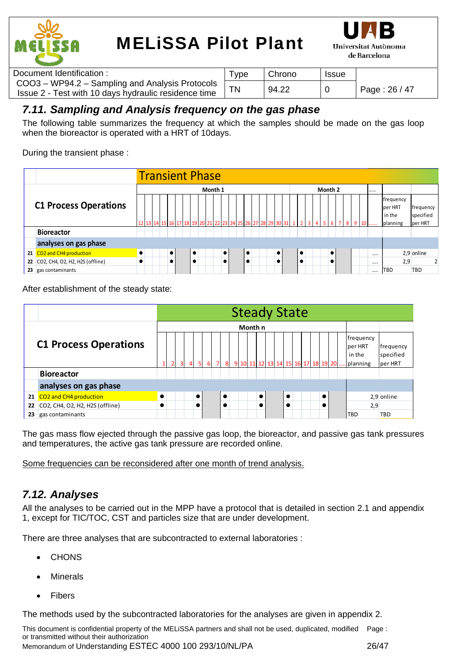



| Document Identification :                                                                               | <b>Type</b> | Chrono | <b>Issue</b> |               |
|---------------------------------------------------------------------------------------------------------|-------------|--------|--------------|---------------|
| COO3 - WP94.2 - Sampling and Analysis Protocols<br>Issue 2 - Test with 10 days hydraulic residence time |             | 94.22  |              | Page: 26 / 47 |

### *7.11. Sampling and Analysis frequency on the gas phase*

The following table summarizes the frequency at which the samples should be made on the gas loop when the bioreactor is operated with a HRT of 10days.

During the transient phase :

|    |                                    |           | <b>Transient Phase</b> |  |  |           |  |  |           |  |  |         |           |  |    |  |           |                                                                     |           |  |         |           |         |  |              |                                            |                      |           |
|----|------------------------------------|-----------|------------------------|--|--|-----------|--|--|-----------|--|--|---------|-----------|--|----|--|-----------|---------------------------------------------------------------------|-----------|--|---------|-----------|---------|--|--------------|--------------------------------------------|----------------------|-----------|
|    |                                    |           |                        |  |  |           |  |  |           |  |  | Month 1 |           |  |    |  |           |                                                                     |           |  | Month 2 |           |         |  |              |                                            |                      |           |
|    | <b>C1 Process Operations</b>       |           |                        |  |  |           |  |  |           |  |  |         |           |  |    |  |           | 12 13 14 15 16 17 18 19 20 21 22 23 24 25 26 27 28 29 30 31 1 2 3 4 |           |  |         |           | 5 6 7 8 |  | $9 \quad 10$ | frequency<br>per HRT<br>in the<br>planning | specified<br>per HRT | frequency |
|    | <b>Bioreactor</b>                  |           |                        |  |  |           |  |  |           |  |  |         |           |  |    |  |           |                                                                     |           |  |         |           |         |  |              |                                            |                      |           |
|    | analyses on gas phase              |           |                        |  |  |           |  |  |           |  |  |         |           |  |    |  |           |                                                                     |           |  |         |           |         |  |              |                                            |                      |           |
|    | 21 CO2 and CH4 production          |           |                        |  |  | $\bullet$ |  |  | $\bullet$ |  |  |         | $\bullet$ |  | lo |  | $\bullet$ |                                                                     | ٠         |  |         | $\bullet$ |         |  |              |                                            | 2,9 online           |           |
|    | 22 CO2, CH4, O2, H2, H2S (offline) | $\bullet$ |                        |  |  | $\bullet$ |  |  | $\bullet$ |  |  |         | $\bullet$ |  |    |  | $\bullet$ |                                                                     | $\bullet$ |  |         |           |         |  |              | 2,9                                        |                      |           |
| 23 | gas contaminants                   |           |                        |  |  |           |  |  |           |  |  |         |           |  |    |  |           |                                                                     |           |  |         |           |         |  |              | TBD                                        | TBD                  |           |

After establishment of the steady state:

|    |                                 |           |                |               |           |  |           |  | <b>Steady State</b>                |           |  |           |  |           |  |                                              |                                   |
|----|---------------------------------|-----------|----------------|---------------|-----------|--|-----------|--|------------------------------------|-----------|--|-----------|--|-----------|--|----------------------------------------------|-----------------------------------|
|    |                                 |           |                |               |           |  |           |  | Month n                            |           |  |           |  |           |  |                                              |                                   |
|    | <b>C1 Process Operations</b>    |           | $\overline{2}$ | 3<br>$\Delta$ |           |  | 8         |  | 9 10 11 12 13 14 15 16 17 18 19 20 |           |  |           |  |           |  | frequency<br>lper HRT<br>in the<br>.planning | frequency<br>specified<br>per HRT |
|    | <b>Bioreactor</b>               |           |                |               |           |  |           |  |                                    |           |  |           |  |           |  |                                              |                                   |
|    | analyses on gas phase           |           |                |               |           |  |           |  |                                    |           |  |           |  |           |  |                                              |                                   |
|    | 21 CO2 and CH4 production       | $\bullet$ |                |               | $\bullet$ |  | $\bullet$ |  |                                    | $\bullet$ |  | $\bullet$ |  | $\bullet$ |  |                                              | 2,9 online                        |
| 22 | CO2, CH4, O2, H2, H2S (offline) | $\bullet$ |                |               |           |  |           |  |                                    | $\bullet$ |  |           |  |           |  | 2,9                                          |                                   |
| 23 | gas contaminants                |           |                |               |           |  |           |  |                                    |           |  |           |  |           |  | <b>TBD</b>                                   | <b>TBD</b>                        |

The gas mass flow ejected through the passive gas loop, the bioreactor, and passive gas tank pressures and temperatures, the active gas tank pressure are recorded online.

Some frequencies can be reconsidered after one month of trend analysis.

### *7.12. Analyses*

All the analyses to be carried out in the MPP have a protocol that is detailed in section 2.1 and appendix 1, except for TIC/TOC, CST and particles size that are under development.

There are three analyses that are subcontracted to external laboratories :

- **CHONS**
- Minerals
- Fibers

The methods used by the subcontracted laboratories for the analyses are given in appendix 2.

This document is confidential property of the MELiSSA partners and shall not be used, duplicated, modified Page : or transmitted without their authorization Memorandum of Understanding ESTEC 4000 100 293/10/NL/PA 26/47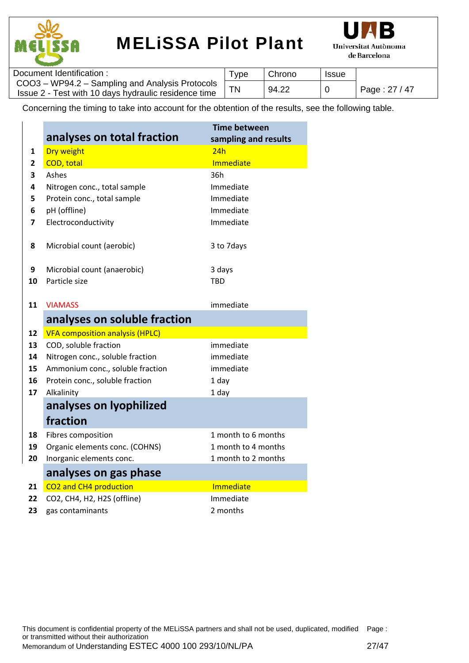



| Document Identification :                                                                               | 'ype | Chrono | <b>Issue</b> |               |
|---------------------------------------------------------------------------------------------------------|------|--------|--------------|---------------|
| COO3 - WP94.2 - Sampling and Analysis Protocols<br>Issue 2 - Test with 10 days hydraulic residence time |      | 94.22  |              | Page: 27 / 47 |

Concerning the timing to take into account for the obtention of the results, see the following table.

|                |                                        | <b>Time between</b>  |
|----------------|----------------------------------------|----------------------|
|                | analyses on total fraction             | sampling and results |
| $\mathbf{1}$   | <b>Dry weight</b>                      | 24h                  |
| $\overline{2}$ | <b>COD</b> , total                     | <b>Immediate</b>     |
| 3              | Ashes                                  | 36h                  |
| 4              | Nitrogen conc., total sample           | Immediate            |
| 5              | Protein conc., total sample            | Immediate            |
| 6              | pH (offline)                           | Immediate            |
| 7              | Electroconductivity                    | Immediate            |
|                |                                        |                      |
| 8              | Microbial count (aerobic)              | 3 to 7 days          |
|                |                                        |                      |
| 9              | Microbial count (anaerobic)            | 3 days               |
| 10             | Particle size                          | TBD                  |
|                |                                        |                      |
| 11             | <b>VIAMASS</b>                         | immediate            |
|                | analyses on soluble fraction           |                      |
| 12             | <b>VFA composition analysis (HPLC)</b> |                      |
| 13             | COD, soluble fraction                  | immediate            |
| 14             | Nitrogen conc., soluble fraction       | immediate            |
| 15             | Ammonium conc., soluble fraction       | immediate            |
| 16             | Protein conc., soluble fraction        | 1 day                |
| 17             | Alkalinity                             | 1 day                |
|                | analyses on lyophilized                |                      |
|                | fraction                               |                      |
| 18             | Fibres composition                     | 1 month to 6 months  |
| 19             | Organic elements conc. (COHNS)         | 1 month to 4 months  |
| 20             | Inorganic elements conc.               | 1 month to 2 months  |
|                | analyses on gas phase                  |                      |
| 21             | CO2 and CH4 production                 | Immediate            |
| 22             | CO2, CH4, H2, H2S (offline)            | Immediate            |
| 23             | gas contaminants                       | 2 months             |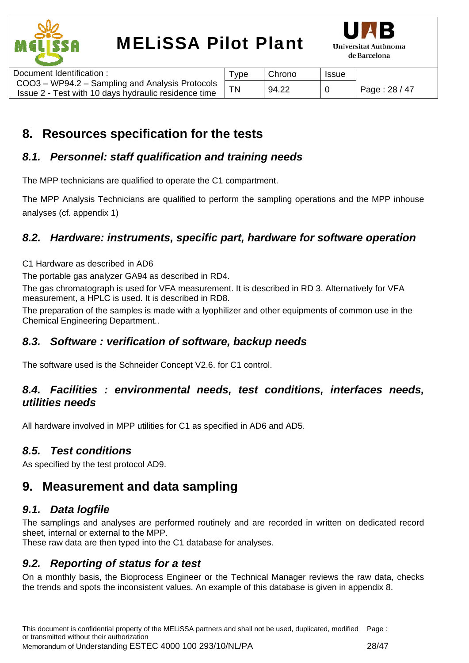



| Document Identification:                                                                                | $T$ vpe | Chrono | <b>Issue</b> |               |
|---------------------------------------------------------------------------------------------------------|---------|--------|--------------|---------------|
| COO3 - WP94.2 - Sampling and Analysis Protocols<br>Issue 2 - Test with 10 days hydraulic residence time |         | 94.22  |              | Page: 28 / 47 |

## **8. Resources specification for the tests**

### *8.1. Personnel: staff qualification and training needs*

The MPP technicians are qualified to operate the C1 compartment.

The MPP Analysis Technicians are qualified to perform the sampling operations and the MPP inhouse analyses (cf. appendix 1)

### *8.2. Hardware: instruments, specific part, hardware for software operation*

C1 Hardware as described in AD6

The portable gas analyzer GA94 as described in RD4.

The gas chromatograph is used for VFA measurement. It is described in RD 3. Alternatively for VFA measurement, a HPLC is used. It is described in RD8.

The preparation of the samples is made with a lyophilizer and other equipments of common use in the Chemical Engineering Department..

### *8.3. Software : verification of software, backup needs*

The software used is the Schneider Concept V2.6. for C1 control.

### *8.4. Facilities : environmental needs, test conditions, interfaces needs, utilities needs*

All hardware involved in MPP utilities for C1 as specified in AD6 and AD5.

### *8.5. Test conditions*

As specified by the test protocol AD9.

### **9. Measurement and data sampling**

### *9.1. Data logfile*

The samplings and analyses are performed routinely and are recorded in written on dedicated record sheet, internal or external to the MPP.

These raw data are then typed into the C1 database for analyses.

### *9.2. Reporting of status for a test*

On a monthly basis, the Bioprocess Engineer or the Technical Manager reviews the raw data, checks the trends and spots the inconsistent values. An example of this database is given in appendix 8.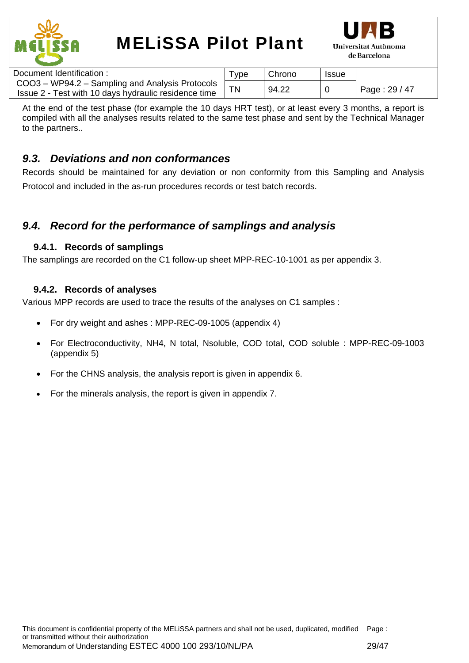



| Document Identification:                                                                                | Type | Chrono | <b>Issue</b> |               |
|---------------------------------------------------------------------------------------------------------|------|--------|--------------|---------------|
| COO3 - WP94.2 - Sampling and Analysis Protocols<br>Issue 2 - Test with 10 days hydraulic residence time |      | 94.22  |              | Page: 29 / 47 |

At the end of the test phase (for example the 10 days HRT test), or at least every 3 months, a report is compiled with all the analyses results related to the same test phase and sent by the Technical Manager to the partners..

### *9.3. Deviations and non conformances*

Records should be maintained for any deviation or non conformity from this Sampling and Analysis Protocol and included in the as-run procedures records or test batch records.

### *9.4. Record for the performance of samplings and analysis*

### **9.4.1. Records of samplings**

The samplings are recorded on the C1 follow-up sheet MPP-REC-10-1001 as per appendix 3.

### **9.4.2. Records of analyses**

Various MPP records are used to trace the results of the analyses on C1 samples :

- For dry weight and ashes : MPP-REC-09-1005 (appendix 4)
- For Electroconductivity, NH4, N total, Nsoluble, COD total, COD soluble : MPP-REC-09-1003 (appendix 5)
- For the CHNS analysis, the analysis report is given in appendix 6.
- For the minerals analysis, the report is given in appendix 7.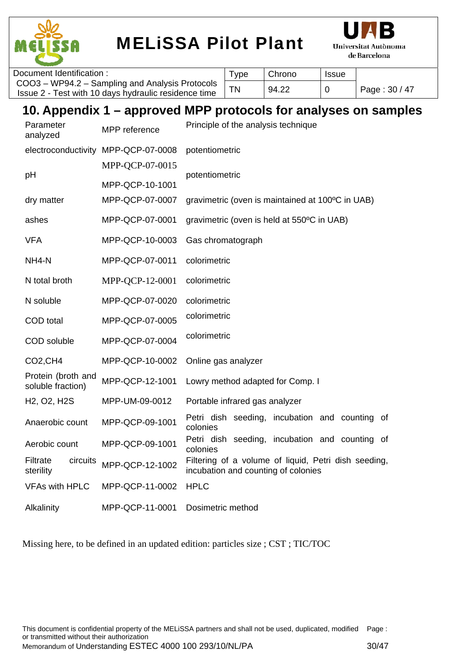



| Document Identification:                             | <b>vpe</b> | Chrono | <b>Issue</b> |               |
|------------------------------------------------------|------------|--------|--------------|---------------|
| COO3 - WP94.2 - Sampling and Analysis Protocols      |            | 94.22  |              | Page: 30 / 47 |
| Issue 2 - Test with 10 days hydraulic residence time |            |        |              |               |

## **10. Appendix 1 – approved MPP protocols for analyses on samples**

| Parameter<br>analyzed                              | MPP reference                       | Principle of the analysis technique                                                         |
|----------------------------------------------------|-------------------------------------|---------------------------------------------------------------------------------------------|
|                                                    | electroconductivity MPP-QCP-07-0008 | potentiometric                                                                              |
| рH                                                 | MPP-QCP-07-0015                     | potentiometric                                                                              |
|                                                    | MPP-QCP-10-1001                     |                                                                                             |
| dry matter                                         | MPP-QCP-07-0007                     | gravimetric (oven is maintained at 100°C in UAB)                                            |
| ashes                                              | MPP-QCP-07-0001                     | gravimetric (oven is held at 550°C in UAB)                                                  |
| <b>VFA</b>                                         | MPP-QCP-10-0003                     | Gas chromatograph                                                                           |
| NH <sub>4</sub> -N                                 | MPP-QCP-07-0011                     | colorimetric                                                                                |
| N total broth                                      | MPP-QCP-12-0001                     | colorimetric                                                                                |
| N soluble                                          | MPP-QCP-07-0020                     | colorimetric                                                                                |
| COD total                                          | MPP-QCP-07-0005                     | colorimetric                                                                                |
| COD soluble                                        | MPP-QCP-07-0004                     | colorimetric                                                                                |
| CO <sub>2</sub> , CH <sub>4</sub>                  | MPP-QCP-10-0002                     | Online gas analyzer                                                                         |
| Protein (broth and<br>soluble fraction)            | MPP-QCP-12-1001                     | Lowry method adapted for Comp. I                                                            |
| H <sub>2</sub> , O <sub>2</sub> , H <sub>2</sub> S | MPP-UM-09-0012                      | Portable infrared gas analyzer                                                              |
| Anaerobic count                                    | MPP-QCP-09-1001                     | Petri dish seeding, incubation and counting<br>0f<br>colonies                               |
| Aerobic count                                      | MPP-QCP-09-1001                     | Petri dish seeding, incubation and counting of<br>colonies                                  |
| Filtrate<br>circuits<br>sterility                  | MPP-QCP-12-1002                     | Filtering of a volume of liquid, Petri dish seeding,<br>incubation and counting of colonies |
| <b>VFAs with HPLC</b>                              | MPP-QCP-11-0002                     | <b>HPLC</b>                                                                                 |
| Alkalinity                                         | MPP-QCP-11-0001                     | Dosimetric method                                                                           |

Missing here, to be defined in an updated edition: particles size ; CST ; TIC/TOC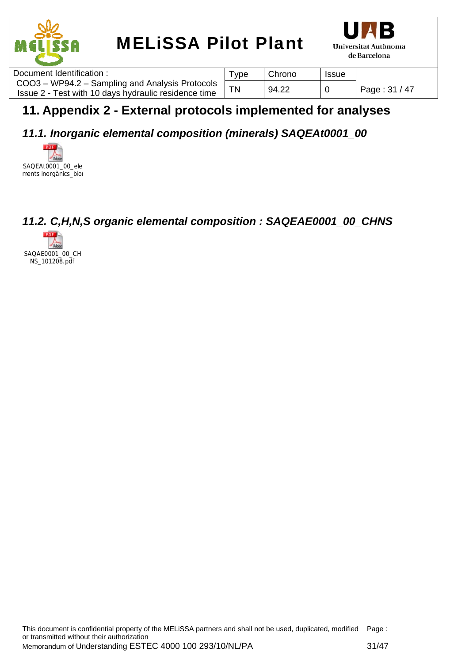



| Document Identification:                                                                                | ype | Chrono | <b>Issue</b> |               |
|---------------------------------------------------------------------------------------------------------|-----|--------|--------------|---------------|
| COO3 - WP94.2 - Sampling and Analysis Protocols<br>Issue 2 - Test with 10 days hydraulic residence time |     | 94.22  |              | Page: 31 / 47 |

## **11. Appendix 2 - External protocols implemented for analyses**

## *11.1. Inorganic elemental composition (minerals) SAQEAt0001\_00*

**PDF** SAQEAt0001\_00\_ele ments inorgànics\_bior

## *11.2. C,H,N,S organic elemental composition : SAQEAE0001\_00\_CHNS*

 $POF$ SAQAE0001\_00\_CH NS\_101208.pdf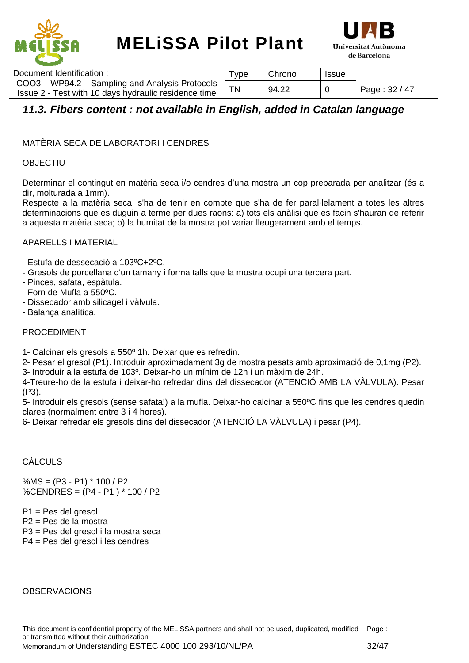



| Document Identification:                                                                                | Type | Chrono | <b>Issue</b> |               |
|---------------------------------------------------------------------------------------------------------|------|--------|--------------|---------------|
| COO3 – WP94.2 – Sampling and Analysis Protocols<br>Issue 2 - Test with 10 days hydraulic residence time |      | 94.22  |              | Page: 32 / 47 |

### *11.3. Fibers content : not available in English, added in Catalan language*

#### MATÈRIA SECA DE LABORATORI I CENDRES

#### OBJECTIU

Determinar el contingut en matèria seca i/o cendres d'una mostra un cop preparada per analitzar (és a dir, molturada a 1mm).

Respecte a la matèria seca, s'ha de tenir en compte que s'ha de fer paral·lelament a totes les altres determinacions que es duguin a terme per dues raons: a) tots els anàlisi que es facin s'hauran de referir a aquesta matèria seca; b) la humitat de la mostra pot variar lleugerament amb el temps.

#### APARELLS I MATERIAL

- Estufa de dessecació a 103ºC+2ºC.
- Gresols de porcellana d'un tamany i forma talls que la mostra ocupi una tercera part.
- Pinces, safata, espàtula.
- Forn de Mufla a 550ºC.
- Dissecador amb silicagel i vàlvula.
- Balança analítica.

#### PROCEDIMENT

1- Calcinar els gresols a 550º 1h. Deixar que es refredin.

2- Pesar el gresol (P1). Introduir aproximadament 3g de mostra pesats amb aproximació de 0,1mg (P2).

3- Introduir a la estufa de 103º. Deixar-ho un mínim de 12h i un màxim de 24h.

4-Treure-ho de la estufa i deixar-ho refredar dins del dissecador (ATENCIÓ AMB LA VÀLVULA). Pesar (P3).

5- Introduir els gresols (sense safata!) a la mufla. Deixar-ho calcinar a 550ºC fins que les cendres quedin clares (normalment entre 3 i 4 hores).

6- Deixar refredar els gresols dins del dissecador (ATENCIÓ LA VÀLVULA) i pesar (P4).

### CÀLCULS

 $% MS = (P3 - P1) * 100 / P2$ %CENDRES = (P4 - P1 ) \* 100 / P2

P1 = Pes del gresol P2 = Pes de la mostra P3 = Pes del gresol i la mostra seca P4 = Pes del gresol i les cendres

#### **OBSERVACIONS**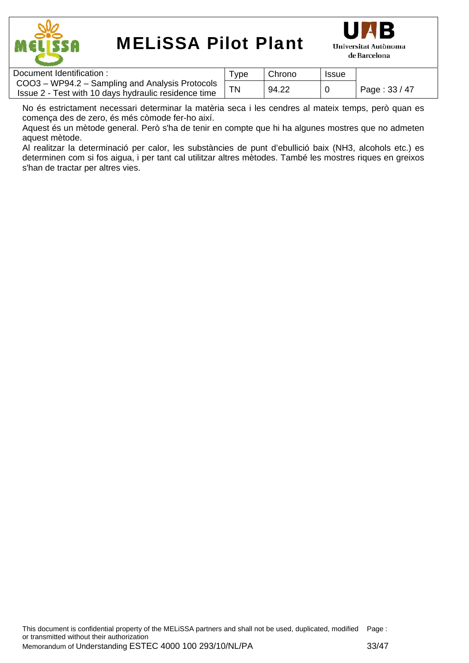



| Document Identification:                                                                                | 'ype | Chrono | <b>Issue</b> |               |
|---------------------------------------------------------------------------------------------------------|------|--------|--------------|---------------|
| COO3 - WP94.2 - Sampling and Analysis Protocols<br>Issue 2 - Test with 10 days hydraulic residence time |      | 94.22  | 0            | Page: 33 / 47 |

No és estrictament necessari determinar la matèria seca i les cendres al mateix temps, però quan es comença des de zero, és més còmode fer-ho així.

Aquest és un mètode general. Però s'ha de tenir en compte que hi ha algunes mostres que no admeten aquest mètode.

Al realitzar la determinació per calor, les substàncies de punt d'ebullició baix (NH3, alcohols etc.) es determinen com si fos aigua, i per tant cal utilitzar altres mètodes. També les mostres riques en greixos s'han de tractar per altres vies.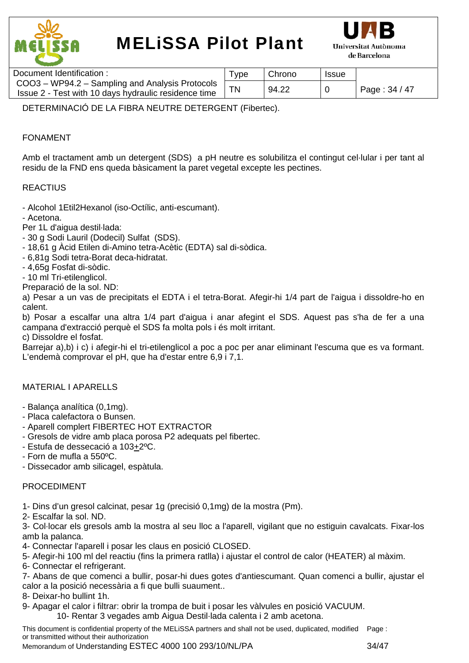



| Document Identification :                                                                                 | ™vpe | Chrono | <b>Issue</b> |               |
|-----------------------------------------------------------------------------------------------------------|------|--------|--------------|---------------|
| COO3 - WP94.2 - Sampling and Analysis Protocols '<br>Issue 2 - Test with 10 days hydraulic residence time |      | 94.22  |              | Page: 34 / 47 |
|                                                                                                           |      |        |              |               |

DETERMINACIÓ DE LA FIBRA NEUTRE DETERGENT (Fibertec).

#### FONAMENT

Amb el tractament amb un detergent (SDS) a pH neutre es solubilitza el contingut cel·lular i per tant al residu de la FND ens queda bàsicament la paret vegetal excepte les pectines.

#### **REACTIUS**

- Alcohol 1Etil2Hexanol (iso-Octílic, anti-escumant).

- Acetona.

Per 1L d'aigua destil·lada:

- 30 g Sodi Lauril (Dodecil) Sulfat (SDS).
- 18,61 g Àcid Etilen di-Amino tetra-Acètic (EDTA) sal di-sòdica.
- 6,81g Sodi tetra-Borat deca-hidratat.

- 4,65g Fosfat di-sòdic.

- 10 ml Tri-etilenglicol.

Preparació de la sol. ND:

a) Pesar a un vas de precipitats el EDTA i el tetra-Borat. Afegir-hi 1/4 part de l'aigua i dissoldre-ho en calent.

b) Posar a escalfar una altra 1/4 part d'aigua i anar afegint el SDS. Aquest pas s'ha de fer a una campana d'extracció perquè el SDS fa molta pols i és molt irritant.

c) Dissoldre el fosfat.

Barrejar a),b) i c) i afegir-hi el tri-etilenglicol a poc a poc per anar eliminant l'escuma que es va formant. L'endemà comprovar el pH, que ha d'estar entre 6,9 i 7,1.

#### MATERIAL I APARELLS

- Balança analítica (0,1mg).
- Placa calefactora o Bunsen.
- Aparell complert FIBERTEC HOT EXTRACTOR
- Gresols de vidre amb placa porosa P2 adequats pel fibertec.
- Estufa de dessecació a 103+2ºC.
- Forn de mufla a 550ºC.
- Dissecador amb silicagel, espàtula.

#### PROCEDIMENT

1- Dins d'un gresol calcinat, pesar 1g (precisió 0,1mg) de la mostra (Pm).

2- Escalfar la sol. ND.

3- Col·locar els gresols amb la mostra al seu lloc a l'aparell, vigilant que no estiguin cavalcats. Fixar-los amb la palanca.

4- Connectar l'aparell i posar les claus en posició CLOSED.

5- Afegir-hi 100 ml del reactiu (fins la primera ratlla) i ajustar el control de calor (HEATER) al màxim.

6- Connectar el refrigerant.

7- Abans de que comenci a bullir, posar-hi dues gotes d'antiescumant. Quan comenci a bullir, ajustar el calor a la posició necessària a fi que bulli suaument..

8- Deixar-ho bullint 1h.

9- Apagar el calor i filtrar: obrir la trompa de buit i posar les vàlvules en posició VACUUM.

10- Rentar 3 vegades amb Aigua Destil·lada calenta i 2 amb acetona.

This document is confidential property of the MELiSSA partners and shall not be used, duplicated, modified Page : or transmitted without their authorization

Memorandum of Understanding ESTEC 4000 100 293/10/NL/PA 34/47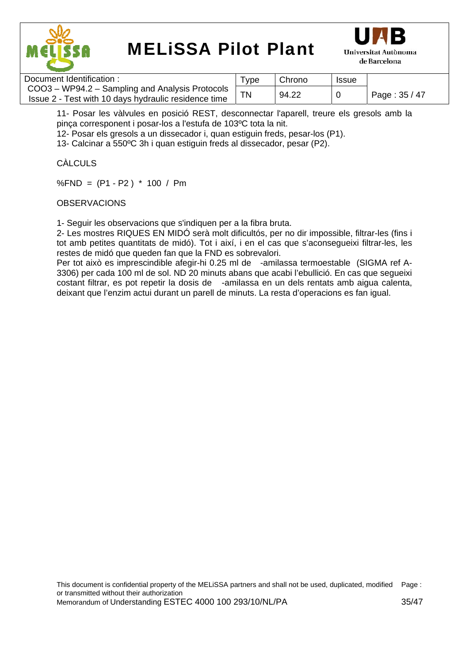



| Document Identification:                                                                                | Type      | Chrono | <b>Issue</b> |               |
|---------------------------------------------------------------------------------------------------------|-----------|--------|--------------|---------------|
| COO3 - WP94.2 - Sampling and Analysis Protocols<br>Issue 2 - Test with 10 days hydraulic residence time | <b>TN</b> | 94.22  |              | Page: 35 / 47 |

11- Posar les vàlvules en posició REST, desconnectar l'aparell, treure els gresols amb la pinça corresponent i posar-los a l'estufa de 103ºC tota la nit.

12- Posar els gresols a un dissecador i, quan estiguin freds, pesar-los (P1).

13- Calcinar a 550ºC 3h i quan estiguin freds al dissecador, pesar (P2).

#### CÀLCULS

%FND = (P1 - P2 ) \* 100 / Pm

#### **OBSERVACIONS**

1- Seguir les observacions que s'indiquen per a la fibra bruta.

2- Les mostres RIQUES EN MIDÓ serà molt dificultós, per no dir impossible, filtrar-les (fins i tot amb petites quantitats de midó). Tot i així, i en el cas que s'aconsegueixi filtrar-les, les restes de midó que queden fan que la FND es sobrevalori.

Per tot això es imprescindible afegir-hi 0.25 ml de -amilassa termoestable (SIGMA ref A-3306) per cada 100 ml de sol. ND 20 minuts abans que acabi l'ebullició. En cas que segueixi costant filtrar, es pot repetir la dosis de -amilassa en un dels rentats amb aigua calenta, deixant que l'enzim actui durant un parell de minuts. La resta d'operacions es fan igual.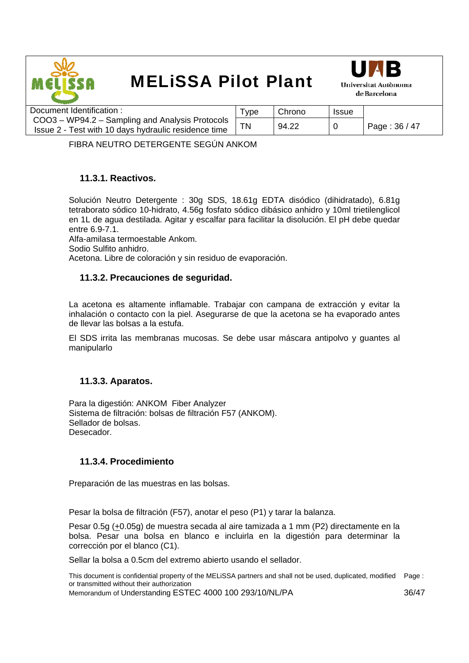



| Document Identification :                            | ™уре | Chrono | <b>Issue</b> |               |
|------------------------------------------------------|------|--------|--------------|---------------|
| COO3 – WP94.2 – Sampling and Analysis Protocols      |      |        |              |               |
| Issue 2 - Test with 10 days hydraulic residence time | ΤN   | 94.22  |              | Page: 36 / 47 |

FIBRA NEUTRO DETERGENTE SEGÚN ANKOM

#### **11.3.1. Reactivos.**

Solución Neutro Detergente : 30g SDS, 18.61g EDTA disódico (dihidratado), 6.81g tetraborato sódico 10-hidrato, 4.56g fosfato sódico dibásico anhidro y 10ml trietilenglicol en 1L de agua destilada. Agitar y escalfar para facilitar la disolución. El pH debe quedar entre 6.9-7.1.

Alfa-amilasa termoestable Ankom. Sodio Sulfito anhidro. Acetona. Libre de coloración y sin residuo de evaporación.

#### **11.3.2. Precauciones de seguridad.**

La acetona es altamente inflamable. Trabajar con campana de extracción y evitar la inhalación o contacto con la piel. Asegurarse de que la acetona se ha evaporado antes de llevar las bolsas a la estufa.

El SDS irrita las membranas mucosas. Se debe usar máscara antipolvo y guantes al manipularlo

#### **11.3.3. Aparatos.**

Para la digestión: ANKOM Fiber Analyzer Sistema de filtración: bolsas de filtración F57 (ANKOM). Sellador de bolsas. Desecador.

#### **11.3.4. Procedimiento**

Preparación de las muestras en las bolsas.

Pesar la bolsa de filtración (F57), anotar el peso (P1) y tarar la balanza.

Pesar 0.5g (+0.05g) de muestra secada al aire tamizada a 1 mm (P2) directamente en la bolsa. Pesar una bolsa en blanco e incluirla en la digestión para determinar la corrección por el blanco (C1).

Sellar la bolsa a 0.5cm del extremo abierto usando el sellador.

This document is confidential property of the MELiSSA partners and shall not be used, duplicated, modified Page : or transmitted without their authorization

Memorandum of Understanding ESTEC 4000 100 293/10/NL/PA 36/47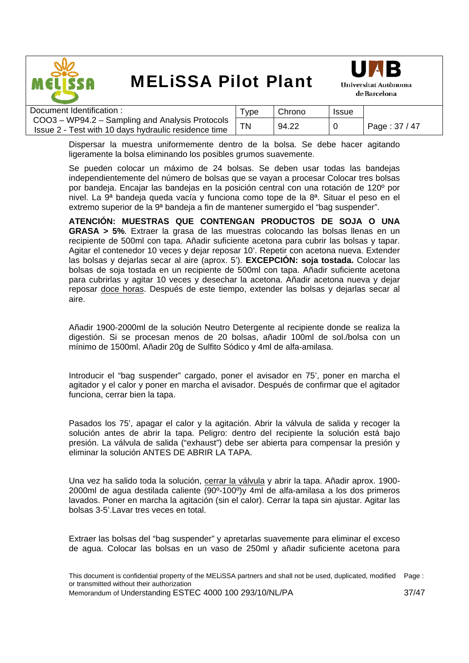



| Document Identification:                             | Tvpe | Chrono | <b>Issue</b> |               |
|------------------------------------------------------|------|--------|--------------|---------------|
| COO3 – WP94.2 – Sampling and Analysis Protocols      |      |        |              |               |
| Issue 2 - Test with 10 days hydraulic residence time |      | 94.22  |              | Page: 37 / 47 |

Dispersar la muestra uniformemente dentro de la bolsa. Se debe hacer agitando ligeramente la bolsa eliminando los posibles grumos suavemente.

Se pueden colocar un máximo de 24 bolsas. Se deben usar todas las bandejas independientemente del número de bolsas que se vayan a procesar Colocar tres bolsas por bandeja. Encajar las bandejas en la posición central con una rotación de 120º por nivel. La 9ª bandeja queda vacía y funciona como tope de la 8ª. Situar el peso en el extremo superior de la 9ª bandeja a fin de mantener sumergido el "bag suspender".

**ATENCIÓN: MUESTRAS QUE CONTENGAN PRODUCTOS DE SOJA O UNA GRASA > 5%**. Extraer la grasa de las muestras colocando las bolsas llenas en un recipiente de 500ml con tapa. Añadir suficiente acetona para cubrir las bolsas y tapar. Agitar el contenedor 10 veces y dejar reposar 10'. Repetir con acetona nueva. Extender las bolsas y dejarlas secar al aire (aprox. 5'). **EXCEPCIÓN: soja tostada.** Colocar las bolsas de soja tostada en un recipiente de 500ml con tapa. Añadir suficiente acetona para cubrirlas y agitar 10 veces y desechar la acetona. Añadir acetona nueva y dejar reposar doce horas. Después de este tiempo, extender las bolsas y dejarlas secar al aire.

Añadir 1900-2000ml de la solución Neutro Detergente al recipiente donde se realiza la digestión. Si se procesan menos de 20 bolsas, añadir 100ml de sol./bolsa con un mínimo de 1500ml. Añadir 20g de Sulfito Sódico y 4ml de alfa-amilasa.

Introducir el "bag suspender" cargado, poner el avisador en 75', poner en marcha el agitador y el calor y poner en marcha el avisador. Después de confirmar que el agitador funciona, cerrar bien la tapa.

Pasados los 75', apagar el calor y la agitación. Abrir la válvula de salida y recoger la solución antes de abrir la tapa. Peligro: dentro del recipiente la solución está bajo presión. La válvula de salida ("exhaust") debe ser abierta para compensar la presión y eliminar la solución ANTES DE ABRIR LA TAPA.

Una vez ha salido toda la solución, cerrar la válvula y abrir la tapa. Añadir aprox. 1900- 2000ml de agua destilada caliente (90º-100º)y 4ml de alfa-amilasa a los dos primeros lavados. Poner en marcha la agitación (sin el calor). Cerrar la tapa sin ajustar. Agitar las bolsas 3-5'.Lavar tres veces en total.

Extraer las bolsas del "bag suspender" y apretarlas suavemente para eliminar el exceso de agua. Colocar las bolsas en un vaso de 250ml y añadir suficiente acetona para

This document is confidential property of the MELiSSA partners and shall not be used, duplicated, modified Page : or transmitted without their authorization Memorandum of Understanding ESTEC 4000 100 293/10/NL/PA 37/47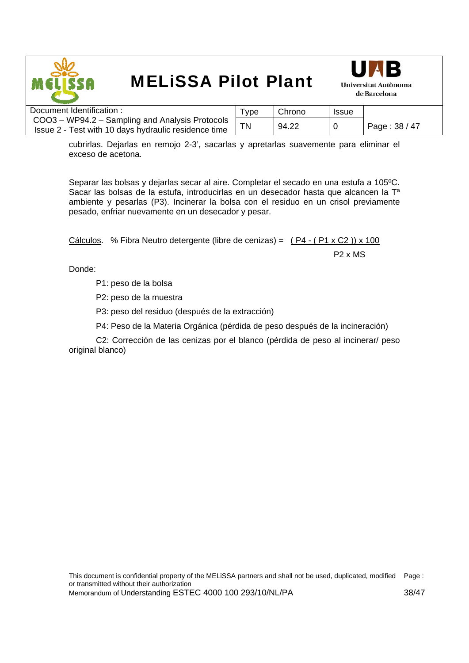



| Document Identification:                                                                                | vpe | Chrono | <b>Issue</b> |               |
|---------------------------------------------------------------------------------------------------------|-----|--------|--------------|---------------|
| COO3 – WP94.2 – Sampling and Analysis Protocols<br>Issue 2 - Test with 10 days hydraulic residence time |     | 94.22  |              | Page: 38 / 47 |

cubrirlas. Dejarlas en remojo 2-3', sacarlas y apretarlas suavemente para eliminar el exceso de acetona.

Separar las bolsas y dejarlas secar al aire. Completar el secado en una estufa a 105ºC. Sacar las bolsas de la estufa, introducirlas en un desecador hasta que alcancen la Tª ambiente y pesarlas (P3). Incinerar la bolsa con el residuo en un crisol previamente pesado, enfriar nuevamente en un desecador y pesar.

Cálculos. % Fibra Neutro detergente (libre de cenizas) = ( P4 - ( P1 x C2 )) x 100 P2 x MS

Donde:

P1: peso de la bolsa

P2: peso de la muestra

P3: peso del residuo (después de la extracción)

P4: Peso de la Materia Orgánica (pérdida de peso después de la incineración)

 C2: Corrección de las cenizas por el blanco (pérdida de peso al incinerar/ peso original blanco)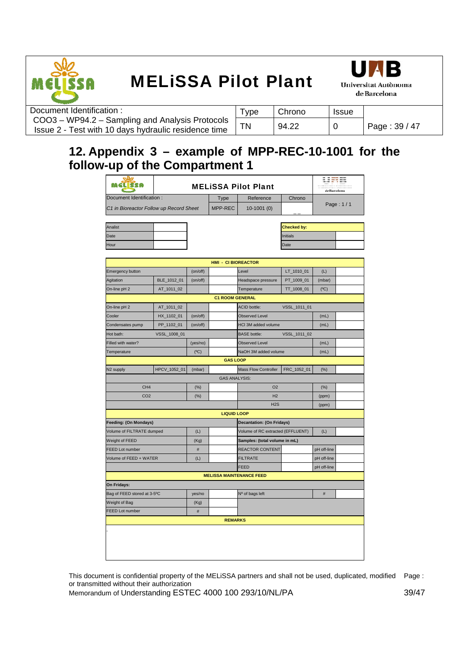



| Document Identification:                                                                                | $\tau_{\text{VDE}}$ | Chrono | <b>Issue</b> |               |
|---------------------------------------------------------------------------------------------------------|---------------------|--------|--------------|---------------|
| COO3 - WP94.2 - Sampling and Analysis Protocols<br>Issue 2 - Test with 10 days hydraulic residence time | <b>TN</b>           | 94.22  |              | Page: 39 / 47 |

### **12. Appendix 3 – example of MPP-REC-10-1001 for the follow-up of the Compartment 1**

| <b>Sila</b><br>MGL SSA                  | <b>MELISSA Pilot Plant</b> |          |                            |                                         |              | WΞ<br>de Barcelona |  |
|-----------------------------------------|----------------------------|----------|----------------------------|-----------------------------------------|--------------|--------------------|--|
| Document Identification:                |                            |          | Type                       | Reference                               | Chrono       |                    |  |
| C1 in Bioreactor Follow up Record Sheet |                            | MPP-REC  | $10-1001(0)$               |                                         | Page: 1/1    |                    |  |
| Analist                                 |                            |          |                            |                                         | Checked by:  |                    |  |
| Date                                    |                            |          |                            |                                         | Initials     |                    |  |
| Hour                                    |                            |          |                            |                                         | Date         |                    |  |
|                                         |                            |          |                            |                                         |              |                    |  |
| Emergency button                        |                            | (on/off) | <b>HMI - CI BIOREACTOR</b> | Level                                   | LT_1010_01   | (L)                |  |
| Agitation                               | BLE_1012_01                | (on/off) |                            | Headspace pressure                      | PT_1009_01   | (mbar)             |  |
| On-line pH 2                            | AT_1011_02                 |          |                            | Temperature                             | TT_1008_01   | $(^{\circ}C)$      |  |
|                                         |                            |          | <b>C1 ROOM GENERAL</b>     |                                         |              |                    |  |
| On-line pH 2                            | AT_1011_02                 |          |                            | <b>ACID bottle:</b>                     | VSSL_1011_01 |                    |  |
| Cooler                                  | HX_1102_01                 | (on/off) |                            | <b>Observed Level</b>                   |              | (mL)               |  |
| Condensates pump                        | PP_1102_01                 | (on/off) |                            | HCI 3M added volume                     |              | (mL)               |  |
| Hot bath:                               | VSSL_1008_01               |          |                            | <b>BASE</b> bottle:                     | VSSL_1011_02 |                    |  |
| Filled with water?                      |                            |          |                            | <b>Observed Level</b>                   |              |                    |  |
|                                         |                            | (yes/no) |                            |                                         |              | (mL)               |  |
| Temperature                             |                            | (C)      | <b>GAS LOOP</b>            | NaOH 3M added volume                    |              | (mL)               |  |
|                                         |                            |          |                            |                                         |              |                    |  |
| N <sub>2</sub> supply                   | HPCV_1052_01               | (mbar)   | <b>GAS ANALYSIS:</b>       | Mass Flow Controller                    | FRC_1052_01  | $(\%)$             |  |
| CH <sub>4</sub>                         |                            |          |                            | O <sub>2</sub>                          |              |                    |  |
|                                         |                            | (%)      |                            |                                         |              | $(\%)$             |  |
| CO <sub>2</sub>                         |                            | (% )     |                            | H2<br>H2S                               |              | (ppm)              |  |
|                                         |                            |          |                            |                                         |              | (ppm)              |  |
|                                         |                            |          | <b>LIQUID LOOP</b>         |                                         |              |                    |  |
| Feeding: (On Mondays)                   |                            |          |                            | <b>Decantation: (On Fridays)</b>        |              |                    |  |
| Volume of FILTRATE dumped               |                            | (L)      |                            | Volume of RC extracted (EFFLUENT)       |              | (L)                |  |
| Weight of FEED                          |                            | (Kg)     |                            | Samples: (total volume in mL)           |              |                    |  |
| <b>FEED Lot number</b>                  |                            | $\#$     |                            | REACTOR CONTENT                         |              | pH off-line        |  |
| Volume of FEED + WATER                  |                            | (L)      |                            | <b>FILTRATE</b>                         |              | pH off-line        |  |
|                                         |                            |          |                            | FEED<br><b>MELISSA MAINTENANCE FEED</b> |              | pH off-line        |  |
| On Fridays:                             |                            |          |                            |                                         |              |                    |  |
| Bag of FEED stored at 3-5°C             |                            | yes/no   |                            | Nº of bags left                         |              | $\#$               |  |
| Weight of Bag                           |                            | (Kg)     |                            |                                         |              |                    |  |
| <b>FEED Lot number</b>                  |                            | $\#$     |                            |                                         |              |                    |  |
|                                         |                            |          |                            |                                         |              |                    |  |
|                                         |                            |          | <b>REMARKS</b>             |                                         |              |                    |  |

This document is confidential property of the MELiSSA partners and shall not be used, duplicated, modified Page : or transmitted without their authorization

Memorandum of Understanding ESTEC 4000 100 293/10/NL/PA 39/47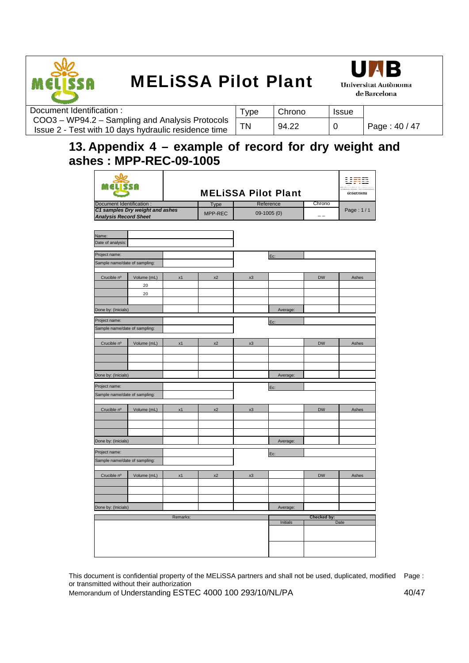



| Document Identification:                                                                                | 'ype | Chrono | <b>Issue</b> |               |
|---------------------------------------------------------------------------------------------------------|------|--------|--------------|---------------|
| COO3 - WP94.2 - Sampling and Analysis Protocols<br>Issue 2 - Test with 10 days hydraulic residence time |      | 94.22  |              | Page: 40 / 47 |
|                                                                                                         |      |        |              |               |

## **13. Appendix 4 – example of record for dry weight and ashes : MPP-REC-09-1005**

|                               |                                 |          |             |    | <b>MELISSA Pilot Plant</b> |             | uma<br>ge parceiona |
|-------------------------------|---------------------------------|----------|-------------|----|----------------------------|-------------|---------------------|
| Document Identification :     |                                 |          | <b>Type</b> |    | Reference                  | Chrono      |                     |
|                               | C1 samples Dry weight and ashes |          | MPP-REC     |    | 09-1005 (0)                |             | Page: 1/1           |
| <b>Analysis Record Sheet</b>  |                                 |          |             |    |                            |             |                     |
|                               |                                 |          |             |    |                            |             |                     |
| Name:                         |                                 |          |             |    |                            |             |                     |
| Date of analysis:             |                                 |          |             |    |                            |             |                     |
|                               |                                 |          |             |    |                            |             |                     |
| Project name:                 |                                 |          |             |    | Ec:                        |             |                     |
| Sample name/date of sampling: |                                 |          |             |    |                            |             |                     |
|                               |                                 |          | x2          |    |                            | <b>DW</b>   |                     |
| Crucible nº                   | Volume (mL)                     | x1       |             | x3 |                            |             | Ashes               |
|                               | 20                              |          |             |    |                            |             |                     |
|                               | 20                              |          |             |    |                            |             |                     |
|                               |                                 |          |             |    |                            |             |                     |
| Done by: (Inicials)           |                                 |          |             |    | Average:                   |             |                     |
| Project name:                 |                                 |          |             |    | Ec:                        |             |                     |
| Sample name/date of sampling: |                                 |          |             |    |                            |             |                     |
|                               |                                 |          |             |    |                            |             |                     |
| Crucible nº                   | Volume (mL)                     | x1       | x2          | x3 |                            | <b>DW</b>   | Ashes               |
|                               |                                 |          |             |    |                            |             |                     |
|                               |                                 |          |             |    |                            |             |                     |
|                               |                                 |          |             |    |                            |             |                     |
| Done by: (Inicials)           |                                 |          |             |    | Average:                   |             |                     |
| Project name:                 |                                 |          |             |    | Ec:                        |             |                     |
| Sample name/date of sampling: |                                 |          |             |    |                            |             |                     |
|                               |                                 |          |             |    |                            |             |                     |
| Crucible nº                   | Volume (mL)                     | x1       | x2          | x3 |                            | <b>DW</b>   | Ashes               |
|                               |                                 |          |             |    |                            |             |                     |
|                               |                                 |          |             |    |                            |             |                     |
|                               |                                 |          |             |    |                            |             |                     |
| Done by: (Inicials)           |                                 |          |             |    | Average:                   |             |                     |
| Project name:                 |                                 |          |             |    |                            |             |                     |
| Sample name/date of sampling: |                                 |          |             |    | Ec:                        |             |                     |
|                               |                                 |          |             |    |                            |             |                     |
| Crucible nº                   | Volume (mL)                     | x1       | x2          | x3 |                            | <b>DW</b>   | Ashes               |
|                               |                                 |          |             |    |                            |             |                     |
|                               |                                 |          |             |    |                            |             |                     |
|                               |                                 |          |             |    |                            |             |                     |
| Done by: (Inicials)           |                                 |          |             |    | Average:                   |             |                     |
|                               |                                 |          |             |    |                            |             |                     |
|                               |                                 | Remarks: |             |    | Initials                   | Checked by: | Date                |
|                               |                                 |          |             |    |                            |             |                     |
|                               |                                 |          |             |    |                            |             |                     |
|                               |                                 |          |             |    |                            |             |                     |
|                               |                                 |          |             |    |                            |             |                     |

This document is confidential property of the MELiSSA partners and shall not be used, duplicated, modified Page : or transmitted without their authorization

Memorandum of Understanding ESTEC 4000 100 293/10/NL/PA 40/47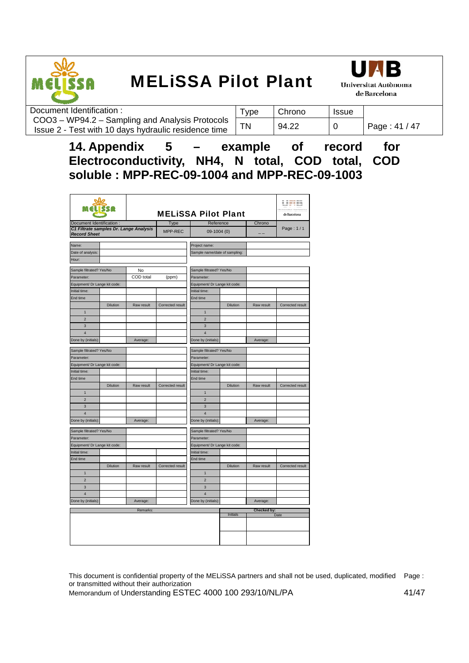



| Document Identification:                                                                                | Type | Chrono | <b>Issue</b> |               |
|---------------------------------------------------------------------------------------------------------|------|--------|--------------|---------------|
| COO3 - WP94.2 - Sampling and Analysis Protocols<br>Issue 2 - Test with 10 days hydraulic residence time | ΤN   | 94.22  |              | Page: 41 / 47 |
|                                                                                                         |      |        |              |               |

**14. Appendix 5 – example of record for Electroconductivity, NH4, N total, COD total, COD soluble : MPP-REC-09-1004 and MPP-REC-09-1003** 

|                                                               |                 |            | <b>MELISSA Pilot Plant</b> |                               |          |             |                  |  |  |  |  |  |  |
|---------------------------------------------------------------|-----------------|------------|----------------------------|-------------------------------|----------|-------------|------------------|--|--|--|--|--|--|
| Document Identification :                                     |                 |            | Type                       | Reference                     |          | Chrono      |                  |  |  |  |  |  |  |
| C1 Filtrate samples Dr. Lange Analysis<br><b>Record Sheet</b> |                 |            | MPP-REC                    | 09-1004 (0)                   |          |             | Page: 1/1        |  |  |  |  |  |  |
| Name:                                                         |                 |            |                            | Project name:                 |          |             |                  |  |  |  |  |  |  |
| Date of analysis:                                             |                 |            |                            | Sample name/date of sampling: |          |             |                  |  |  |  |  |  |  |
| Hour:                                                         |                 |            |                            |                               |          |             |                  |  |  |  |  |  |  |
| Sample filtrated? Yes/No                                      |                 | No         |                            | Sample filtrated? Yes/No      |          |             |                  |  |  |  |  |  |  |
| Parameter:                                                    |                 | COD total  | (ppm)                      | Parameter:                    |          |             |                  |  |  |  |  |  |  |
| Equipment/ Dr Lange kit code:                                 |                 |            |                            | Equipment/ Dr Lange kit code: |          |             |                  |  |  |  |  |  |  |
| Initial time:                                                 |                 |            |                            | Initial time:                 |          |             |                  |  |  |  |  |  |  |
| End time                                                      |                 |            |                            | End time                      |          |             |                  |  |  |  |  |  |  |
|                                                               | <b>Dilution</b> | Raw result | Corrected result           |                               | Dilution | Raw result  | Corrected result |  |  |  |  |  |  |
| $\mathbf{1}$                                                  |                 |            |                            | $\mathbf{1}$                  |          |             |                  |  |  |  |  |  |  |
| $\overline{2}$                                                |                 |            |                            | $\overline{2}$                |          |             |                  |  |  |  |  |  |  |
| 3                                                             |                 |            |                            | 3                             |          |             |                  |  |  |  |  |  |  |
| $\overline{\mathbf{4}}$                                       |                 |            |                            | $\overline{\mathbf{4}}$       |          |             |                  |  |  |  |  |  |  |
| Done by (initials):                                           |                 | Average:   |                            | Done by (initials):           |          | Average:    |                  |  |  |  |  |  |  |
| Sample filtrated? Yes/No                                      |                 |            |                            | Sample filtrated? Yes/No      |          |             |                  |  |  |  |  |  |  |
| Parameter:                                                    |                 |            |                            | Parameter:                    |          |             |                  |  |  |  |  |  |  |
| Equipment/ Dr Lange kit code:                                 |                 |            |                            | Equipment/ Dr Lange kit code: |          |             |                  |  |  |  |  |  |  |
| Initial time:                                                 |                 |            |                            | Initial time:                 |          |             |                  |  |  |  |  |  |  |
| End time                                                      |                 |            |                            | End time                      |          |             |                  |  |  |  |  |  |  |
|                                                               | Dilution        | Raw result | Corrected result           |                               | Dilution | Raw result  | Corrected result |  |  |  |  |  |  |
| $\mathbf{1}$                                                  |                 |            |                            | $\mathbf{1}$                  |          |             |                  |  |  |  |  |  |  |
| $\overline{2}$                                                |                 |            |                            | $\overline{2}$                |          |             |                  |  |  |  |  |  |  |
| 3                                                             |                 |            |                            | 3                             |          |             |                  |  |  |  |  |  |  |
| $\overline{\mathbf{4}}$                                       |                 |            |                            | $\overline{4}$                |          |             |                  |  |  |  |  |  |  |
| Done by (initials):                                           |                 | Average:   |                            | Done by (initials):           |          | Average:    |                  |  |  |  |  |  |  |
| Sample filtrated? Yes/No                                      |                 |            |                            | Sample filtrated? Yes/No      |          |             |                  |  |  |  |  |  |  |
| Parameter:                                                    |                 |            |                            | Parameter:                    |          |             |                  |  |  |  |  |  |  |
| Equipment/ Dr Lange kit code:                                 |                 |            |                            | Equipment/ Dr Lange kit code: |          |             |                  |  |  |  |  |  |  |
| Initial time:                                                 |                 |            |                            | Initial time:                 |          |             |                  |  |  |  |  |  |  |
| End time                                                      |                 |            |                            | End time                      |          |             |                  |  |  |  |  |  |  |
|                                                               | Dilution        | Raw result | Corrected result           |                               | Dilution | Raw result  | Corrected result |  |  |  |  |  |  |
| $\mathbf{1}$                                                  |                 |            |                            | $\mathbf{1}$                  |          |             |                  |  |  |  |  |  |  |
| $\overline{2}$                                                |                 |            |                            | $\overline{2}$                |          |             |                  |  |  |  |  |  |  |
| $\overline{3}$                                                |                 |            |                            | $\overline{3}$                |          |             |                  |  |  |  |  |  |  |
| $\overline{\mathbf{4}}$                                       |                 |            |                            | $\overline{4}$                |          |             |                  |  |  |  |  |  |  |
| Done by (initials):                                           |                 | Average:   |                            | Done by (initials):           |          | Average:    |                  |  |  |  |  |  |  |
|                                                               |                 |            |                            |                               |          |             |                  |  |  |  |  |  |  |
|                                                               |                 | Remarks:   |                            |                               | Initials | Checked by: | Date             |  |  |  |  |  |  |
|                                                               |                 |            |                            |                               |          |             |                  |  |  |  |  |  |  |
|                                                               |                 |            |                            |                               |          |             |                  |  |  |  |  |  |  |

This document is confidential property of the MELiSSA partners and shall not be used, duplicated, modified Page : or transmitted without their authorization

Memorandum of Understanding ESTEC 4000 100 293/10/NL/PA 41/47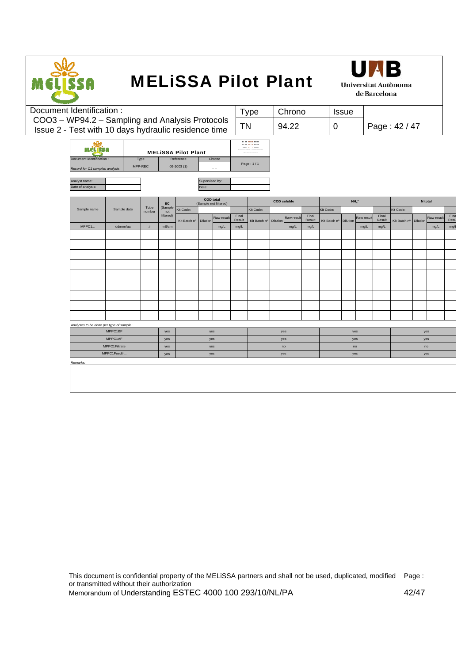

|  | Document Identification:                                         |             |         |                |                      |                                    |                |                   |                 | <b>Type</b>           |      | Chrono     |                 |              | <b>Issue</b>    |                     |                 |               |          |            |              |
|--|------------------------------------------------------------------|-------------|---------|----------------|----------------------|------------------------------------|----------------|-------------------|-----------------|-----------------------|------|------------|-----------------|--------------|-----------------|---------------------|-----------------|---------------|----------|------------|--------------|
|  | COO3 - WP94.2 - Sampling and Analysis Protocols                  |             |         |                |                      |                                    |                |                   |                 |                       |      |            |                 |              |                 |                     |                 |               |          |            |              |
|  | Issue 2 - Test with 10 days hydraulic residence time             |             |         |                |                      |                                    |                |                   | <b>TN</b>       |                       |      | 94.22      |                 | $\mathbf 0$  |                 |                     |                 | Page: 42 / 47 |          |            |              |
|  |                                                                  |             |         |                |                      |                                    |                |                   |                 | ------<br>------      |      |            |                 |              |                 |                     |                 |               |          |            |              |
|  | <b>MATIRES</b>                                                   |             |         |                |                      | <b>MELISSA Pilot Plant</b>         |                |                   |                 | ---                   |      |            |                 |              |                 |                     |                 |               |          |            |              |
|  | Document Identification :                                        |             | Type    |                |                      | Reference                          |                | Chrono            |                 |                       |      |            |                 |              |                 |                     |                 |               |          |            |              |
|  | Record for C1 samples analysis                                   |             | MPP-REC |                |                      | $09-1003(1)$                       |                | $\qquad \qquad -$ |                 | Page: 1/1             |      |            |                 |              |                 |                     |                 |               |          |            |              |
|  | Analyst name:                                                    |             |         |                |                      |                                    | Supervised by: |                   |                 |                       |      |            |                 |              |                 |                     |                 |               |          |            |              |
|  | Date of analysis:                                                |             |         |                |                      |                                    | Date:          |                   |                 |                       |      |            |                 |              |                 |                     |                 |               |          |            |              |
|  |                                                                  |             |         |                |                      |                                    |                | <b>COD</b> total  |                 | <b>COD</b> soluble    |      |            |                 |              |                 | $NH_4$ <sup>+</sup> |                 |               |          | N total    |              |
|  | Sample name                                                      | Sample date |         | Tube<br>number | EC<br>(Sample<br>not | (Sample not filtered)<br>Kit Code: |                |                   |                 | Kit Code:             |      |            |                 | Kit Code:    |                 |                     |                 | Kit Code:     |          |            |              |
|  | MPPC1.<br>dd/mm/aa                                               |             |         |                | filtered)            | Kit Batch nº                       | Dilution       | Raw result        | Final<br>Result | Kit Batch nº Dilution |      | Raw result | Final<br>Result | Kit Batch nº | <b>Dilution</b> | Raw result          | Final<br>Result | Kit Batch nº  | Dilution | Raw result | Fina<br>Resu |
|  |                                                                  |             | #       | mS/cm          |                      |                                    | mg/L           | mg/L              |                 |                       | mg/L | mg/L       |                 |              | mg/L            | mg/L                |                 |               | mg/L     | mg/l       |              |
|  |                                                                  |             |         |                |                      |                                    |                |                   |                 |                       |      |            |                 |              |                 |                     |                 |               |          |            |              |
|  |                                                                  |             |         |                |                      |                                    |                |                   |                 |                       |      |            |                 |              |                 |                     |                 |               |          |            |              |
|  |                                                                  |             |         |                |                      |                                    |                |                   |                 |                       |      |            |                 |              |                 |                     |                 |               |          |            |              |
|  |                                                                  |             |         |                |                      |                                    |                |                   |                 |                       |      |            |                 |              |                 |                     |                 |               |          |            |              |
|  |                                                                  |             |         |                |                      |                                    |                |                   |                 |                       |      |            |                 |              |                 |                     |                 |               |          |            |              |
|  |                                                                  |             |         |                |                      |                                    |                |                   |                 |                       |      |            |                 |              |                 |                     |                 |               |          |            |              |
|  |                                                                  |             |         |                |                      |                                    |                |                   |                 |                       |      |            |                 |              |                 |                     |                 |               |          |            |              |
|  |                                                                  |             |         |                |                      |                                    |                |                   |                 |                       |      |            |                 |              |                 |                     |                 |               |          |            |              |
|  |                                                                  |             |         |                |                      |                                    |                |                   |                 |                       |      |            |                 |              |                 |                     |                 |               |          |            |              |
|  |                                                                  |             |         |                |                      |                                    |                |                   |                 |                       |      |            |                 |              |                 |                     |                 |               |          |            |              |
|  | Analyses to be done per type of sample:<br>MPPC1BF<br>yes<br>yes |             |         |                |                      |                                    |                |                   |                 |                       | yes  |            |                 |              | yes             |                     |                 |               | yes      |            |              |
|  | MPPC1AF<br>yes<br>yes                                            |             |         |                |                      |                                    |                |                   |                 |                       | yes  |            |                 |              | yes             |                     |                 |               | yes      |            |              |
|  | MPPC1Filtrate<br>yes<br>yes                                      |             |         |                |                      |                                    |                |                   |                 |                       | no   |            | no              |              |                 |                     |                 |               | no       |            |              |
|  | MPPC1Feed#<br>yes<br>yes                                         |             |         |                |                      |                                    |                |                   |                 |                       |      | yes        |                 |              |                 | yes                 |                 |               |          | yes        |              |
|  | Remarks:                                                         |             |         |                |                      |                                    |                |                   |                 |                       |      |            |                 |              |                 |                     |                 |               |          |            |              |
|  |                                                                  |             |         |                |                      |                                    |                |                   |                 |                       |      |            |                 |              |                 |                     |                 |               |          |            |              |

This document is confidential property of the MELiSSA partners and shall not be used, duplicated, modified Page : or transmitted without their authorization Memorandum of Understanding ESTEC 4000 100 293/10/NL/PA 42/47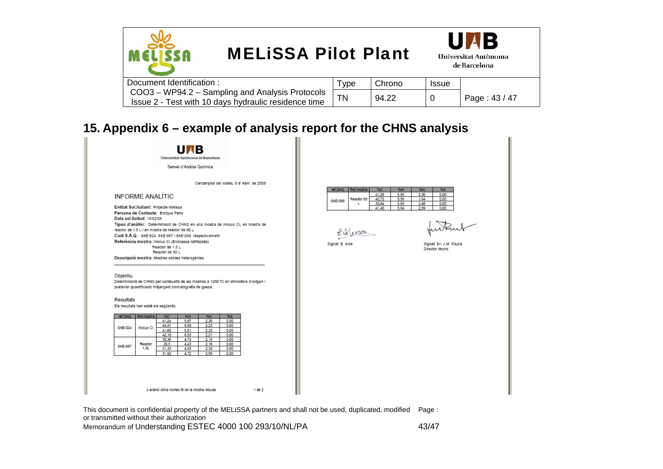



| Document Identification:                                                                                | vpe | Chrono | Issue |               |
|---------------------------------------------------------------------------------------------------------|-----|--------|-------|---------------|
| COO3 - WP94.2 - Sampling and Analysis Protocols<br>Issue 2 - Test with 10 days hydraulic residence time |     | 94.22  |       | Page: 43 / 47 |
|                                                                                                         |     |        |       |               |

## **15. Appendix 6 – example of analysis report for the CHNS analysis**



This document is confidential property of the MELiSSA partners and shall not be used, duplicated, modified Page : or transmitted without their authorization Memorandum of Understanding ESTEC 4000 100 293/10/NL/PA 43/47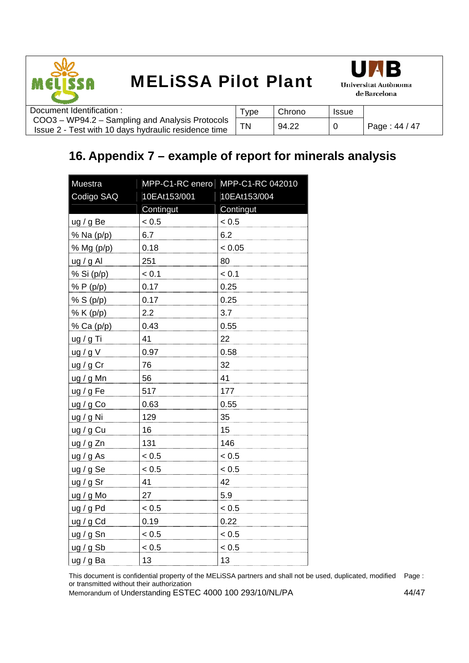



| Document Identification:                                                                                | ' vpe | Chrono | <b>Issue</b> |               |
|---------------------------------------------------------------------------------------------------------|-------|--------|--------------|---------------|
| COO3 – WP94.2 – Sampling and Analysis Protocols<br>Issue 2 - Test with 10 days hydraulic residence time |       | 94.22  |              | Page: 44 / 47 |
|                                                                                                         |       |        |              |               |

## **16. Appendix 7 – example of report for minerals analysis**

| <b>Muestra</b> | MPP-C1-RC enero | MPP-C1-RC 042010 |  |  |  |  |  |
|----------------|-----------------|------------------|--|--|--|--|--|
| Codigo SAQ     | 10EAt153/001    | 10EAt153/004     |  |  |  |  |  |
|                | Contingut       | Contingut        |  |  |  |  |  |
| ug/gBe         | < 0.5           | < 0.5            |  |  |  |  |  |
| % Na (p/p)     | 6.7             | 6.2              |  |  |  |  |  |
| % Mg (p/p)     | 0.18            | < 0.05           |  |  |  |  |  |
| ug / g Al      | 251             | 80               |  |  |  |  |  |
| % Si (p/p)     | < 0.1           | < 0.1            |  |  |  |  |  |
| % P (p/p)      | 0.17            | 0.25             |  |  |  |  |  |
| % S (p/p)      | 0.17            | 0.25             |  |  |  |  |  |
| % K (p/p)      | 2.2             | 3.7              |  |  |  |  |  |
| % Ca (p/p)     | 0.43            | 0.55             |  |  |  |  |  |
| ug / g Ti      | 41              | 22               |  |  |  |  |  |
| ug/gV          | 0.97            | 0.58             |  |  |  |  |  |
| ug / g Cr      | 76              | 32               |  |  |  |  |  |
| ug / g Mn      | 56              | 41               |  |  |  |  |  |
| ug / g Fe      | 517             | 177              |  |  |  |  |  |
| ug / g Co      | 0.63            | 0.55             |  |  |  |  |  |
| ug / g Ni      | 129             | 35               |  |  |  |  |  |
| ug / g Cu      | 16              | 15               |  |  |  |  |  |
| ug/g Zn        | 131             | 146              |  |  |  |  |  |
| ug/gAs         | < 0.5           | < 0.5            |  |  |  |  |  |
| ug / g Se      | < 0.5           | < 0.5            |  |  |  |  |  |
| ug / g Sr      | 41              | 42               |  |  |  |  |  |
| ug / g Mo      | 27              | 5.9              |  |  |  |  |  |
| ug/gPd         | < 0.5           | < 0.5            |  |  |  |  |  |
| ug / g Cd      | 0.19            | 0.22             |  |  |  |  |  |
| ug / g Sn      | < 0.5           | < 0.5            |  |  |  |  |  |
| ug/gSb         | < 0.5           | < 0.5            |  |  |  |  |  |
| ug/g Ba        | 13              | 13               |  |  |  |  |  |

This document is confidential property of the MELiSSA partners and shall not be used, duplicated, modified Page : or transmitted without their authorization

Memorandum of Understanding ESTEC 4000 100 293/10/NL/PA 44/47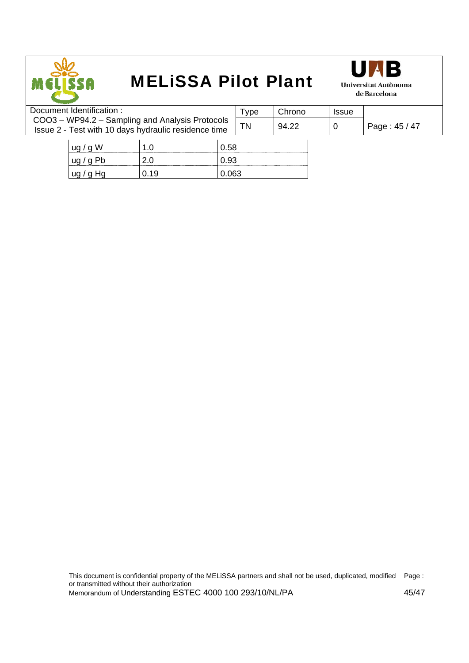



| Document Identification: |                                                                                                         |      | Type  | Chrono | <b>Issue</b>  |  |
|--------------------------|---------------------------------------------------------------------------------------------------------|------|-------|--------|---------------|--|
|                          | COO3 - WP94.2 - Sampling and Analysis Protocols<br>Issue 2 - Test with 10 days hydraulic residence time | ΤN   | 94.22 |        | Page: 45 / 47 |  |
| ug/gW                    |                                                                                                         | 0.58 |       |        |               |  |

 $\log / g$  Pb  $\Big| 2.0 \Big| 0.93 \Big|$  $\log$  / g Hg  $\log$  0.19  $\log$  0.063

This document is confidential property of the MELiSSA partners and shall not be used, duplicated, modified or transmitted without their authorization Page : Memorandum of Understanding ESTEC 4000 100 293/10/NL/PA 45/47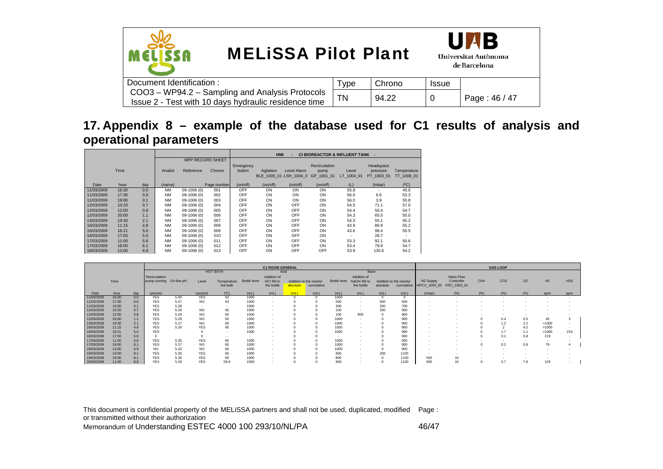

## **17. Appendix 8 – example of the database used for C1 results of analysis and operational parameters**

|            |       |     |           |             |                         | <b>HMI</b><br><b>CI BIOREACTOR &amp; INFLUENT TANK -</b> |             |             |                       |            |            |             |  |  |  |  |
|------------|-------|-----|-----------|-------------|-------------------------|----------------------------------------------------------|-------------|-------------|-----------------------|------------|------------|-------------|--|--|--|--|
|            |       |     |           |             | <b>MPP RECORD SHEET</b> |                                                          |             |             |                       |            |            |             |  |  |  |  |
|            |       |     |           |             |                         | Emergency                                                |             |             | <b>Recirculation</b>  |            | Headspace  |             |  |  |  |  |
|            | Time  |     | Analist   | Reference   | Chrono                  | button                                                   | Agitation   | Level Alarm | pump                  | Level      | pressure   | Temperature |  |  |  |  |
|            |       |     |           |             |                         |                                                          | BLE 1005 01 |             | LSH 1004 0 GP 1001 01 | LT 1004 01 | PT 1003 01 | TT 1008 01  |  |  |  |  |
| Date       | hour  | dav | (name)    |             | Page number             | (on/off)                                                 | (on/off)    | (on/off)    | (on/off)              | (L)        | (mbar)     | (C)         |  |  |  |  |
| 11/03/2009 | 16:30 | 0.0 | <b>NM</b> | 09-1006 (0) | 001                     | OFF                                                      | ON          | ON          | ON                    | 55.8       |            | 45.0        |  |  |  |  |
| 11/03/2009 | 17:30 | 0.0 | <b>NM</b> | 09-1006 (0) | 002                     | OFF                                                      | ON          | ON          | ON                    | 56.0       | 6.6        | 53.3        |  |  |  |  |
| 11/03/2009 | 19:00 | 0.1 | <b>NM</b> | 09-1006 (0) | 003                     | OFF                                                      | ON          | ON          | ON                    | 56.0       | 3.9        | 55.8        |  |  |  |  |
| 12/03/2009 | 10:20 | 0.7 | <b>NM</b> | 09-1006 (0) | 004                     | OFF                                                      | ON          | OFF         | ON                    | 54.5       | 71.1       | 57.0        |  |  |  |  |
| 12/03/2009 | 12:00 | 0.8 | <b>NM</b> | 09-1006 (0) | 005                     | OFF                                                      | ON          | OFF         | ON                    | 54.4       | 50.4       | 54.7        |  |  |  |  |
| 12/03/2009 | 20:00 | 1.1 | <b>NM</b> | 09-1006 (0) | 006                     | OFF                                                      | ON          | OFF         | ON                    | 54.3       | 65.5       | 55.0        |  |  |  |  |
| 13/03/2009 | 19:30 | 2.1 | <b>NM</b> | 09-1006 (0) | 007                     | OFF                                                      | ON          | OFF         | ON                    | 54.3       | 55.1       | 55.2        |  |  |  |  |
| 16/03/2009 | 11:15 | 4.8 | <b>NM</b> | 09-1006 (0) | 008                     | OFF                                                      | ON          | OFF         | ON                    | 43.9       | 86.9       | 55.2        |  |  |  |  |
| 16/03/2009 | 16:21 | 5.0 | <b>NM</b> | 09-1006 (0) | 009                     | OFF                                                      | ON          | OFF         | ON                    | 43.6       | 98.4       | 55.5        |  |  |  |  |
| 16/03/2009 | 17:00 | 5.0 | <b>NM</b> | 09-1006 (0) | 010                     | OFF                                                      | ON          | OFF         | ON                    | ٠          | 28.7       | ۰.          |  |  |  |  |
| 17/03/2009 | 11:00 | 5.8 | <b>NM</b> | 09-1006 (0) | 011                     | OFF                                                      | ON          | OFF         | ON                    | 53.3       | 92.1       | 50.6        |  |  |  |  |
| 17/03/2009 | 18:00 | 6.1 | <b>NM</b> | 09-1006 (0) | 012                     | OFF                                                      | ON          | OFF         | ON                    | 53.4       | 79.9       | 54.7        |  |  |  |  |
| 18/03/2009 | 13:00 | 6.9 | <b>NM</b> | 09-1006 (0) | 013                     | OFF                                                      | ON          | OFF         | OFF                   | 53.9       | 135.6      | 54.2        |  |  |  |  |

|            |       |     |                                          |      |                |             |              | <b>C1 ROOM GENERAL</b>   |          |                         | <b>GAS LOOP</b>          |                           |          |                         |                       |                         |                 |                 |                |                |     |  |
|------------|-------|-----|------------------------------------------|------|----------------|-------------|--------------|--------------------------|----------|-------------------------|--------------------------|---------------------------|----------|-------------------------|-----------------------|-------------------------|-----------------|-----------------|----------------|----------------|-----|--|
|            |       |     |                                          |      |                | HOT BATH    |              | Acid                     |          |                         |                          | <b>Base</b>               |          |                         |                       |                         |                 |                 |                |                |     |  |
|            | Time  |     | Recirculation<br>pump running On-line pH |      | Level          | Temperature | Bottle level | Addition of<br>HCI 3M to |          | Addition to the reactor | <b>Bottle level</b>      | Addition of<br>NaOH 3M to |          | Addition to the reactor | N <sub>2</sub> Supply | Mass Flow<br>Controller | CH <sub>4</sub> | CO <sub>2</sub> | O <sub>2</sub> | H <sub>2</sub> | H2S |  |
|            |       |     |                                          |      |                | hot bath    |              | the bottle               | absolute | cumulative              |                          | the bottle                | absolute | cumulative              | HPCV_1003_03          | FRC_1003_01             |                 |                 |                |                |     |  |
| Date       | hour  | dav | (yes/no)                                 |      | (yes/no)       | (°C)        | (mL)         | (mL)                     | (m)      | (mL)                    | (mL)                     | (mL)                      | (mL)     | (mL)                    | (mbar)                | (% )                    | (%)             |                 | (%)            | ppm            | ppm |  |
| 11/03/2009 | 16:30 | 0.0 | <b>YES</b>                               | 5.06 | <b>YES</b>     | 63          | 1000         | $\sim$                   |          |                         | 1000                     |                           |          | $^{\circ}$              |                       | $\sim$                  |                 |                 |                |                |     |  |
| 11/03/2009 | 17:30 | 0.0 | <b>YES</b>                               | 5.47 | <b>NO</b>      | 63          | 1000         | $\overline{\phantom{a}}$ |          |                         | 500                      |                           | 500      | 500                     |                       |                         |                 |                 |                |                |     |  |
| 11/03/2009 | 19:00 | 0.1 | <b>YES</b>                               | 5.38 |                |             | 1000         | $\overline{\phantom{a}}$ |          |                         | 300                      |                           | 200      | 700                     |                       |                         |                 |                 |                |                |     |  |
| 12/03/2009 | 10:20 | 0.7 | <b>YES</b>                               | 5.28 | N <sub>O</sub> |             | 1000         | ٠                        |          |                         | 100                      |                           | 200      | 900                     |                       |                         |                 |                 |                |                |     |  |
| 12/03/2009 | 12:00 | 0.8 | <b>YES</b>                               | 5.29 | NO             |             | 1000         | $\overline{\phantom{a}}$ |          |                         | 100                      | 900                       |          | 900                     |                       |                         |                 |                 |                |                |     |  |
| 12/03/2009 | 20:00 | 1.1 | <b>YES</b>                               | 5.28 | <b>NO</b>      |             | 1000         | $\overline{\phantom{a}}$ |          |                         | 1000                     |                           |          | 900                     |                       |                         |                 | 0.4             | 0.5            | 45             |     |  |
| 13/03/2009 | 19:30 | 2.1 | <b>YES</b>                               | 5.27 | NO             |             | 1000         | $\sim$                   |          |                         | 1000                     |                           |          | 900                     |                       |                         |                 |                 | 2.2            | >1000          |     |  |
| 16/03/2009 | 11:15 | 4.8 | <b>YES</b>                               | 5.26 | <b>YES</b>     |             | 1000         | $\overline{\phantom{a}}$ |          |                         | 1000                     |                           |          | 900                     |                       |                         |                 |                 | 4.2            | >1000          |     |  |
| 16/03/2009 | 16:21 | 5.0 | <b>YES</b>                               |      |                |             | 1000         | $\overline{\phantom{a}}$ |          |                         | 1000                     |                           |          | 900                     |                       |                         |                 |                 | 1.1            | >1000          | 218 |  |
| 16/03/2009 | 17:00 | 5.0 |                                          |      |                |             | . .          | $\overline{\phantom{a}}$ |          |                         | $\overline{\phantom{a}}$ |                           |          | 900                     |                       |                         |                 |                 | 0.8            | 219            |     |  |
| 17/03/2009 | 11:00 | 5.8 | <b>YES</b>                               | 5.35 | <b>YES</b>     |             | 1000         |                          |          |                         | 1000                     |                           |          | 900                     |                       |                         |                 |                 | $\sim$         |                |     |  |
| 17/03/2009 | 18:00 | 6.1 | <b>YES</b>                               | 5.37 | NO             |             | 1000         | ٠                        |          |                         | 1000                     |                           |          | 900                     |                       |                         |                 |                 | 0.8            | 79             |     |  |
| 18/03/2009 | 13:00 | 6.9 | NO                                       | 5.33 | <b>NO</b>      |             | 1000         | ٠                        |          |                         | 1000                     |                           |          | 900                     |                       |                         |                 |                 |                |                |     |  |
| 19/03/2009 | 19:00 | 8.1 | <b>YES</b>                               | 5.30 | <b>YES</b>     |             | 1000         | $\sim$                   |          |                         | 800                      |                           | 200      | 1100                    |                       |                         |                 |                 |                |                |     |  |
| 19/03/2009 | 19:30 | 8.1 | <b>YES</b>                               | 5.30 | <b>YES</b>     |             | 1000         | ٠                        |          |                         | 800                      |                           |          | 1100                    | 500                   |                         |                 |                 |                |                |     |  |
| 20/03/2009 | 11:00 | 8.8 | <b>YES</b>                               | 5.28 | <b>YES</b>     | 58.8        | 1000         |                          |          |                         | 800                      |                           |          | 1100                    | 500                   | 10 <sub>1</sub>         |                 |                 | 7.8            | 129            |     |  |

This document is confidential property of the MELiSSA partners and shall not be used, duplicated, modified Page :

or transmitted without their authorization

Memorandum of Understanding ESTEC 4000 100 293/10/NL/PA 46/47